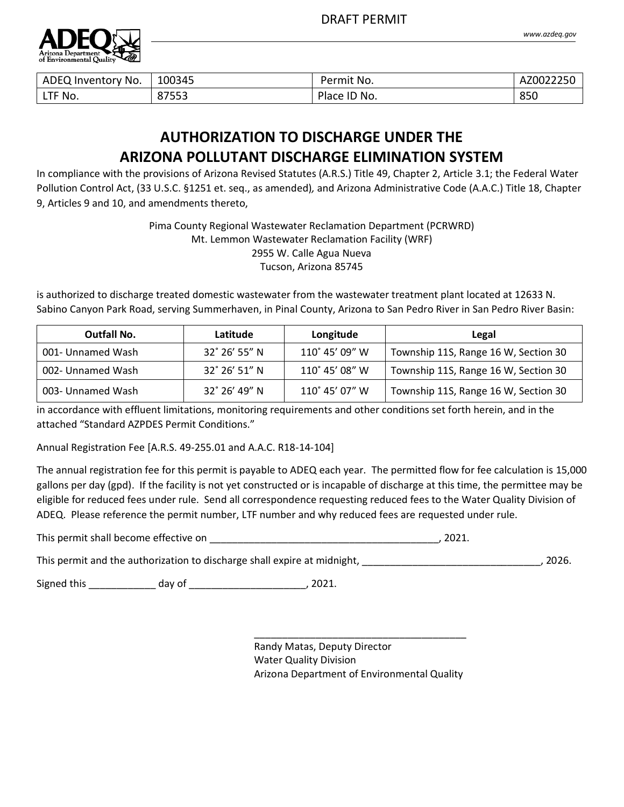

| ADEQ Inventory No. | 100345 | Permit No.                    | AZ0022250 |
|--------------------|--------|-------------------------------|-----------|
| LTF No.            | 87553  | Place I <sub>D</sub><br>י No. | 850       |

# **AUTHORIZATION TO DISCHARGE UNDER THE ARIZONA POLLUTANT DISCHARGE ELIMINATION SYSTEM**

Congress In compliance with the provisions of Arizona Revised Statutes (A.R.S.) Title 49, Chapter 2, Article 3.1; the Federal Water Pollution Control Act, (33 U.S.C. §1251 et. seq., as amended), and Arizona Administrative Code (A.A.C.) Title 18, Chapter<br>-9, Articles 9 and 10, and amendments thereto,

> Pima County Regional Wastewater Reclamation Department (PCRWRD) Mt. Lemmon Wastewater Reclamation Facility (WRF) 2955 W. Calle Agua Nueva Tucson, Arizona 85745

is authorized to discharge treated domestic wastewater from the wastewater treatment plant located at 12633 N. Sabino Canyon Park Road, serving Summerhaven, in Pinal County, Arizona to San Pedro River in San Pedro River Basin:

| Outfall No.       | Latitude               | Longitude      | Legal                                |
|-------------------|------------------------|----------------|--------------------------------------|
| 001- Unnamed Wash | 32° 26′ 55″ N          | 110° 45' 09" W | Township 11S, Range 16 W, Section 30 |
| 002- Unnamed Wash | $32^\circ 26' 51'' N$  | 110° 45' 08" W | Township 11S, Range 16 W, Section 30 |
| 003- Unnamed Wash | $32^{\circ}$ 26' 49" N | 110° 45' 07" W | Township 11S, Range 16 W, Section 30 |

in accordance with effluent limitations, monitoring requirements and other conditions set forth herein, and in the attached "Standard AZPDES Permit Conditions."

Annual Registration Fee [A.R.S. 49-255.01 and A.A.C. R18-14-104]

The annual registration fee for this permit is payable to ADEQ each year. The permitted flow for fee calculation is 15,000 gallons per day (gpd). If the facility is not yet constructed or is incapable of discharge at this time, the permittee may be eligible for reduced fees under rule. Send all correspondence requesting reduced fees to the Water Quality Division of ADEQ. Please reference the permit number, LTF number and why reduced fees are requested under rule.

This permit shall become effective on \_\_\_\_\_\_\_\_\_\_\_\_\_\_\_\_\_\_\_\_\_\_\_\_\_\_\_\_\_\_\_\_\_\_\_\_\_\_\_\_\_, 2021.

This permit and the authorization to discharge shall expire at midnight, Letter and Muslim and the authorization to discharge shall expire at midnight, Letter and Muslim and Muslim and Muslim and Muslim and Muslim and Musl

Signed this \_\_\_\_\_\_\_\_\_\_\_\_\_\_\_ day of \_\_\_\_\_\_\_\_\_\_\_\_\_\_\_\_\_\_\_\_\_\_\_\_\_\_\_\_, 2021.

Randy Matas, Deputy Director Water Quality Division Arizona Department of Environmental Quality

\_\_\_\_\_\_\_\_\_\_\_\_\_\_\_\_\_\_\_\_\_\_\_\_\_\_\_\_\_\_\_\_\_\_\_\_\_\_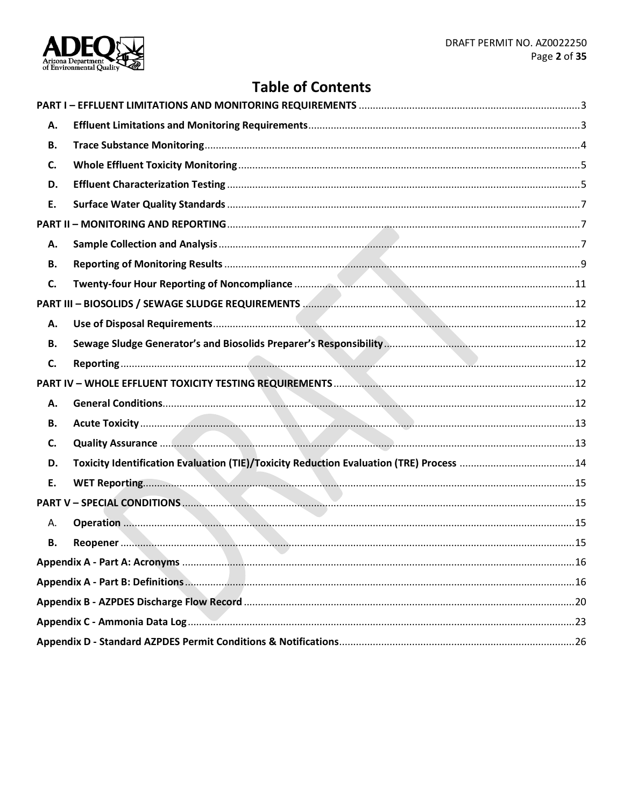

# **Table of Contents**

| А. |  |
|----|--|
| В. |  |
| C. |  |
| D. |  |
| E. |  |
|    |  |
| А. |  |
| В. |  |
| C. |  |
|    |  |
| Α. |  |
| В. |  |
| C. |  |
|    |  |
| А. |  |
| В. |  |
| C. |  |
| D. |  |
| Ε. |  |
|    |  |
| Α. |  |
| В. |  |
|    |  |
|    |  |
|    |  |
|    |  |
|    |  |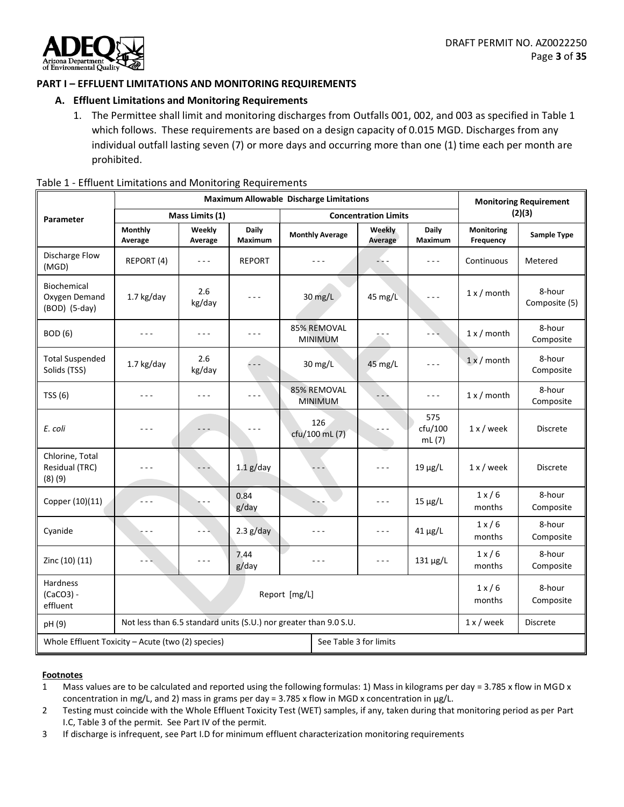

# <span id="page-2-1"></span><span id="page-2-0"></span>**PART I – EFFLUENT LIMITATIONS AND MONITORING REQUIREMENTS**

## **A. Effluent Limitations and Monitoring Requirements**

1. The Permittee shall limit and monitoring discharges from Outfalls 001, 002, and 003 as specified in Table 1 which follows. These requirements are based on a design capacity of 0.015 MGD. Discharges from any individual outfall lasting seven (7) or more days and occurring more than one (1) time each per month are prohibited.

|                                                                             |                                                                   | <b>Maximum Allowable Discharge Limitations</b> | <b>Monitoring Requirement</b> |                               |                             |                         |                                |                         |  |
|-----------------------------------------------------------------------------|-------------------------------------------------------------------|------------------------------------------------|-------------------------------|-------------------------------|-----------------------------|-------------------------|--------------------------------|-------------------------|--|
| <b>Parameter</b>                                                            |                                                                   | Mass Limits (1)                                |                               |                               | <b>Concentration Limits</b> |                         |                                | (2)(3)                  |  |
|                                                                             | <b>Monthly</b><br>Average                                         | Weekly<br>Average                              | Daily<br>Maximum              | <b>Monthly Average</b>        | Weekly<br>Average           | Daily<br>Maximum        | <b>Monitoring</b><br>Frequency | Sample Type             |  |
| Discharge Flow<br>(MGD)                                                     | REPORT (4)                                                        | $- - -$                                        | <b>REPORT</b>                 |                               |                             | - - -                   | Continuous                     | Metered                 |  |
| Biochemical<br>Oxygen Demand<br>(BOD) (5-day)                               | 1.7 kg/day                                                        | 2.6<br>kg/day                                  | - - -                         | 30 mg/L                       | 45 mg/L                     | $  -$                   | $1 x /$ month                  | 8-hour<br>Composite (5) |  |
| <b>BOD</b> (6)                                                              | - - -                                                             | ---                                            | $  -$                         | 85% REMOVAL<br><b>MINIMUM</b> | $  -$                       |                         | $1 x /$ month                  | 8-hour<br>Composite     |  |
| <b>Total Suspended</b><br>Solids (TSS)                                      | 1.7 kg/day                                                        | 2.6<br>kg/day                                  | $ -$                          | 30 mg/L                       | 45 mg/L                     | - - -                   | $1x/m$ onth                    | 8-hour<br>Composite     |  |
| TSS(6)                                                                      |                                                                   |                                                | $  -$                         | 85% REMOVAL<br><b>MINIMUM</b> |                             |                         | $1 x /$ month                  | 8-hour<br>Composite     |  |
| E. coli                                                                     | - - -                                                             |                                                |                               | 126<br>cfu/100 mL (7)         |                             | 575<br>cfu/100<br>mL(7) | $1x$ / week                    | <b>Discrete</b>         |  |
| Chlorine, Total<br>Residual (TRC)<br>(8)(9)                                 |                                                                   |                                                | $1.1$ g/day                   |                               | $- - -$                     | $19 \mu g/L$            | $1x$ / week                    | Discrete                |  |
| Copper (10)(11)                                                             | ti e e                                                            |                                                | 0.84<br>g/day                 | $-1$                          | $- - -$                     | $15 \mu g/L$            | $1 \times 6$<br>months         | 8-hour<br>Composite     |  |
| Cyanide                                                                     |                                                                   | - - 1                                          | $2.3$ g/day                   | $  -$                         | $  -$                       | $41 \mu g/L$            | $1 \times 6$<br>months         | 8-hour<br>Composite     |  |
| Zinc (10) (11)                                                              | - - -                                                             | $\sim$ $\sim$ $\sim$                           | 7.44<br>g/day                 | - - -                         | $- - -$                     | $131 \mu g/L$           | $1 \times 6$<br>months         | 8-hour<br>Composite     |  |
| Hardness<br>$(CaCO3) -$<br>effluent                                         | Report [mg/L]                                                     |                                                |                               |                               |                             |                         | $1 \times 6$<br>months         | 8-hour<br>Composite     |  |
| pH(9)                                                                       | Not less than 6.5 standard units (S.U.) nor greater than 9.0 S.U. |                                                |                               |                               |                             |                         | $1 x /$ week                   | <b>Discrete</b>         |  |
| Whole Effluent Toxicity - Acute (two (2) species)<br>See Table 3 for limits |                                                                   |                                                |                               |                               |                             |                         |                                |                         |  |

#### Table 1 - Effluent Limitations and Monitoring Requirements

- 1 Mass values are to be calculated and reported using the following formulas: 1) Mass in kilograms per day = 3.785 x flow in MGD x concentration in mg/L, and 2) mass in grams per day = 3.785 x flow in MGD x concentration in µg/L.
- 2 Testing must coincide with the Whole Effluent Toxicity Test (WET) samples, if any, taken during that monitoring period as per Part I.C, Table 3 of the permit. See Part IV of the permit.
- 3 If discharge is infrequent, see Part I.D for minimum effluent characterization monitoring requirements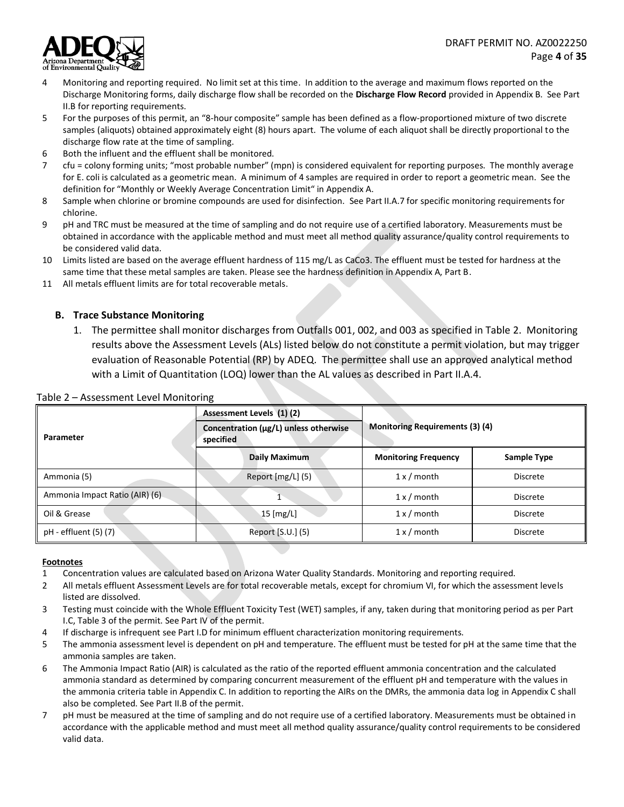

- 4 Monitoring and reporting required. No limit set at this time. In addition to the average and maximum flows reported on the Discharge Monitoring forms, daily discharge flow shall be recorded on the **Discharge Flow Record** provided in Appendix B. See Part II.B for reporting requirements.
- 5 For the purposes of this permit, an "8-hour composite" sample has been defined as a flow-proportioned mixture of two discrete samples (aliquots) obtained approximately eight (8) hours apart. The volume of each aliquot shall be directly proportional to the discharge flow rate at the time of sampling.
- 6 Both the influent and the effluent shall be monitored.
- 7 cfu = colony forming units; "most probable number" (mpn) is considered equivalent for reporting purposes. The monthly average for E. coli is calculated as a geometric mean. A minimum of 4 samples are required in order to report a geometric mean. See the definition for "Monthly or Weekly Average Concentration Limit" in Appendix A.
- 8 Sample when chlorine or bromine compounds are used for disinfection. See Part II.A.7 for specific monitoring requirements for chlorine.
- 9 pH and TRC must be measured at the time of sampling and do not require use of a certified laboratory. Measurements must be obtained in accordance with the applicable method and must meet all method quality assurance/quality control requirements to be considered valid data.
- 10 Limits listed are based on the average effluent hardness of 115 mg/L as CaCo3. The effluent must be tested for hardness at the same time that these metal samples are taken. Please see the hardness definition in Appendix A, Part B.
- 11 All metals effluent limits are for total recoverable metals.

#### <span id="page-3-0"></span>**B. Trace Substance Monitoring**

1. The permittee shall monitor discharges from Outfalls 001, 002, and 003 as specified in Table 2. Monitoring results above the Assessment Levels (ALs) listed below do not constitute a permit violation, but may trigger evaluation of Reasonable Potential (RP) by ADEQ. The permittee shall use an approved analytical method with a Limit of Quantitation (LOQ) lower than the AL values as described in Part II.A.4.

|                                | Assessment Levels (1)(2)                           |                                        |                 |  |
|--------------------------------|----------------------------------------------------|----------------------------------------|-----------------|--|
| Parameter                      | Concentration (µg/L) unless otherwise<br>specified | <b>Monitoring Requirements (3) (4)</b> |                 |  |
|                                | Daily Maximum                                      | <b>Monitoring Frequency</b>            | Sample Type     |  |
| Ammonia (5)                    | Report [mg/L] (5)                                  | $1 x /$ month                          | Discrete        |  |
| Ammonia Impact Ratio (AIR) (6) |                                                    | $1 x /$ month                          | <b>Discrete</b> |  |
| Oil & Grease                   | $15$ [mg/L]                                        | $1 x /$ month                          | <b>Discrete</b> |  |
| pH - effluent (5) (7)          | Report [S.U.] (5)                                  | $1 x /$ month                          | <b>Discrete</b> |  |

#### Table 2 – Assessment Level Monitoring

- 1 Concentration values are calculated based on Arizona Water Quality Standards. Monitoring and reporting required.
- 2 All metals effluent Assessment Levels are for total recoverable metals, except for chromium VI, for which the assessment levels listed are dissolved.
- 3 Testing must coincide with the Whole Effluent Toxicity Test (WET) samples, if any, taken during that monitoring period as per Part I.C, Table 3 of the permit. See Part IV of the permit.
- 4 If discharge is infrequent see Part I.D for minimum effluent characterization monitoring requirements.
- 5 The ammonia assessment level is dependent on pH and temperature. The effluent must be tested for pH at the same time that the ammonia samples are taken.
- 6 The Ammonia Impact Ratio (AIR) is calculated as the ratio of the reported effluent ammonia concentration and the calculated ammonia standard as determined by comparing concurrent measurement of the effluent pH and temperature with the values in the ammonia criteria table in Appendix C. In addition to reporting the AIRs on the DMRs, the ammonia data log in Appendix C shall also be completed. See Part II.B of the permit.
- 7 pH must be measured at the time of sampling and do not require use of a certified laboratory. Measurements must be obtained in accordance with the applicable method and must meet all method quality assurance/quality control requirements to be considered valid data.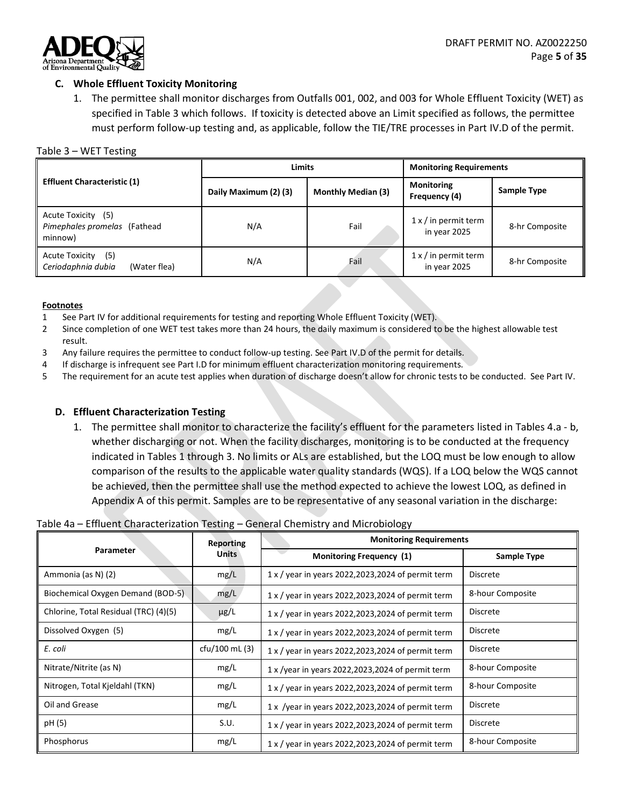

#### <span id="page-4-0"></span>**C. Whole Effluent Toxicity Monitoring**

1. The permittee shall monitor discharges from Outfalls 001, 002, and 003 for Whole Effluent Toxicity (WET) as specified in Table 3 which follows. If toxicity is detected above an Limit specified as follows, the permittee must perform follow-up testing and, as applicable, follow the TIE/TRE processes in Part IV.D of the permit.

#### Table 3 – WET Testing

|                                                                    | <b>Limits</b>         |                           | <b>Monitoring Requirements</b>              |                |
|--------------------------------------------------------------------|-----------------------|---------------------------|---------------------------------------------|----------------|
| <b>Effluent Characteristic (1)</b>                                 | Daily Maximum (2) (3) | <b>Monthly Median (3)</b> | <b>Monitoring</b><br>Frequency (4)          | Sample Type    |
| Acute Toxicity (5)<br>Pimephales promelas (Fathead<br>minnow)      | N/A                   | Fail                      | $1 x /$ in permit term<br>in year 2025      | 8-hr Composite |
| <b>Acute Toxicity</b><br>(5)<br>Ceriodaphnia dubia<br>(Water flea) | N/A                   | Fail                      | $1 \times$ / in permit term<br>in year 2025 | 8-hr Composite |

#### **Footnotes**

- 1 See Part IV for additional requirements for testing and reporting Whole Effluent Toxicity (WET).
- 2 Since completion of one WET test takes more than 24 hours, the daily maximum is considered to be the highest allowable test result.
- 3 Any failure requires the permittee to conduct follow-up testing. See Part IV.D of the permit for details.
- 4 If discharge is infrequent see Part I.D for minimum effluent characterization monitoring requirements.
- 5 The requirement for an acute test applies when duration of discharge doesn't allow for chronic tests to be conducted. See Part IV.

#### <span id="page-4-1"></span>**D. Effluent Characterization Testing**

1. The permittee shall monitor to characterize the facility's effluent for the parameters listed in Tables 4.a - b, whether discharging or not. When the facility discharges, monitoring is to be conducted at the frequency indicated in Tables 1 through 3. No limits or ALs are established, but the LOQ must be low enough to allow comparison of the results to the applicable water quality standards (WQS). If a LOQ below the WQS cannot be achieved, then the permittee shall use the method expected to achieve the lowest LOQ, as defined in Appendix A of this permit. Samples are to be representative of any seasonal variation in the discharge:

#### Table 4a – Effluent Characterization Testing – General Chemistry and Microbiology

|                                       | Reporting      | <b>Monitoring Requirements</b>                      |                  |  |
|---------------------------------------|----------------|-----------------------------------------------------|------------------|--|
| Parameter                             | <b>Units</b>   | <b>Monitoring Frequency (1)</b>                     | Sample Type      |  |
| Ammonia (as N) (2)                    | mg/L           | 1 x / year in years 2022, 2023, 2024 of permit term | <b>Discrete</b>  |  |
| Biochemical Oxygen Demand (BOD-5).    | mg/L           | 1 x / year in years 2022, 2023, 2024 of permit term | 8-hour Composite |  |
| Chlorine, Total Residual (TRC) (4)(5) | $\mu$ g/L      | 1 x / year in years 2022, 2023, 2024 of permit term | <b>Discrete</b>  |  |
| Dissolved Oxygen (5)                  | mg/L           | 1 x / year in years 2022, 2023, 2024 of permit term | <b>Discrete</b>  |  |
| E. coli                               | cfu/100 mL (3) | 1 x / year in years 2022, 2023, 2024 of permit term | <b>Discrete</b>  |  |
| Nitrate/Nitrite (as N)                | mg/L           | 1 x /year in years 2022,2023,2024 of permit term    | 8-hour Composite |  |
| Nitrogen, Total Kjeldahl (TKN)        | mg/L           | 1 x / year in years 2022, 2023, 2024 of permit term | 8-hour Composite |  |
| Oil and Grease                        | mg/L           | 1 x /year in years 2022, 2023, 2024 of permit term  | <b>Discrete</b>  |  |
| pH (5)                                | S.U.           | 1 x / year in years 2022, 2023, 2024 of permit term | <b>Discrete</b>  |  |
| Phosphorus                            | mg/L           | 1 x / year in years 2022, 2023, 2024 of permit term | 8-hour Composite |  |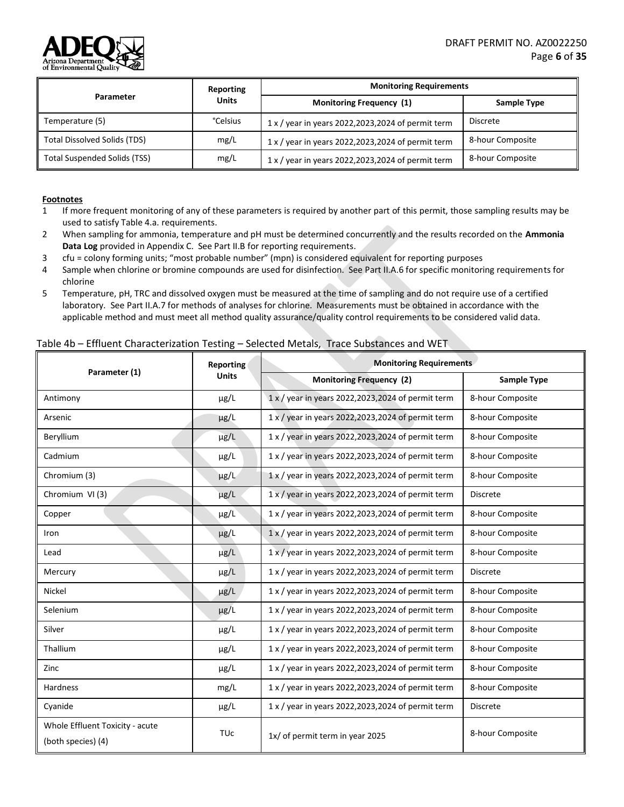

|                                     | Reporting      | <b>Monitoring Requirements</b>                      |                  |  |
|-------------------------------------|----------------|-----------------------------------------------------|------------------|--|
| Parameter                           | <b>Units</b>   | Monitoring Frequency (1)                            | Sample Type      |  |
| Temperature (5)                     | <b>Celsius</b> | 1 x / year in years 2022, 2023, 2024 of permit term | Discrete         |  |
| <b>Total Dissolved Solids (TDS)</b> | mg/L           | 1 x / year in years 2022,2023,2024 of permit term   | 8-hour Composite |  |
| <b>Total Suspended Solids (TSS)</b> | mg/L           | 1 x / year in years 2022, 2023, 2024 of permit term | 8-hour Composite |  |

#### **Footnotes**

- 1 If more frequent monitoring of any of these parameters is required by another part of this permit, those sampling results may be used to satisfy Table 4.a. requirements.
- 2 When sampling for ammonia, temperature and pH must be determined concurrently and the results recorded on the **Ammonia Data Log** provided in Appendix C. See Part II.B for reporting requirements.
- 3 cfu = colony forming units; "most probable number" (mpn) is considered equivalent for reporting purposes
- 4 Sample when chlorine or bromine compounds are used for disinfection. See Part II.A.6 for specific monitoring requirements for chlorine
- 5 Temperature, pH, TRC and dissolved oxygen must be measured at the time of sampling and do not require use of a certified laboratory. See Part II.A.7 for methods of analyses for chlorine. Measurements must be obtained in accordance with the applicable method and must meet all method quality assurance/quality control requirements to be considered valid data.

#### Table 4b – Effluent Characterization Testing – Selected Metals, Trace Substances and WET

| Parameter (1)                                         | Reporting             | <b>Monitoring Requirements</b>                             |                  |  |
|-------------------------------------------------------|-----------------------|------------------------------------------------------------|------------------|--|
|                                                       | <b>Units</b>          | <b>Monitoring Frequency (2)</b>                            | Sample Type      |  |
| Antimony                                              | $\mu$ g/L             | 1 x / year in years 2022, 2023, 2024 of permit term        | 8-hour Composite |  |
| Arsenic                                               | $\mu$ g/L             | 1 x / year in years 2022, 2023, 2024 of permit term        | 8-hour Composite |  |
| Beryllium                                             | µg/L                  | 1 x / year in years 2022, 2023, 2024 of permit term        | 8-hour Composite |  |
| Cadmium                                               | $\mu$ g/L             | 1 x / year in years 2022, 2023, 2024 of permit term        | 8-hour Composite |  |
| Chromium (3)                                          | $\mu$ g/L             | 1 x / year in years 2022, 2023, 2024 of permit term        | 8-hour Composite |  |
| Chromium VI (3)                                       | µg/L                  | 1 x / year in years 2022, 2023, 2024 of permit term        | <b>Discrete</b>  |  |
| Copper                                                | $\mu$ g/L             | 1 x / year in years 2022, 2023, 2024 of permit term        | 8-hour Composite |  |
| Iron                                                  | $\mu$ g/L             | 1 x / year in years 2022, 2023, 2024 of permit term        | 8-hour Composite |  |
| Lead                                                  | µg/L                  | $1 \times$ / year in years 2022, 2023, 2024 of permit term | 8-hour Composite |  |
| Mercury                                               | $\mu$ g/L             | 1 x / year in years 2022, 2023, 2024 of permit term        | <b>Discrete</b>  |  |
| Nickel                                                | $\mu$ g/L             | 1 x / year in years 2022, 2023, 2024 of permit term        | 8-hour Composite |  |
| Selenium                                              | $\mu$ g/L             | 1 x / year in years 2022, 2023, 2024 of permit term        | 8-hour Composite |  |
| Silver                                                | $\mu$ g/L             | 1 x / year in years 2022,2023,2024 of permit term          | 8-hour Composite |  |
| Thallium                                              | $\mu$ g/L             | 1 x / year in years 2022, 2023, 2024 of permit term        | 8-hour Composite |  |
| Zinc                                                  | $\mu$ g/L             | 1 x / year in years 2022, 2023, 2024 of permit term        | 8-hour Composite |  |
| Hardness                                              | mg/L                  | 1 x / year in years 2022, 2023, 2024 of permit term        | 8-hour Composite |  |
| Cyanide                                               | $\mu$ g/L             | 1 x / year in years 2022, 2023, 2024 of permit term        | <b>Discrete</b>  |  |
| Whole Effluent Toxicity - acute<br>(both species) (4) | <b>TU<sub>C</sub></b> | 1x/ of permit term in year 2025                            | 8-hour Composite |  |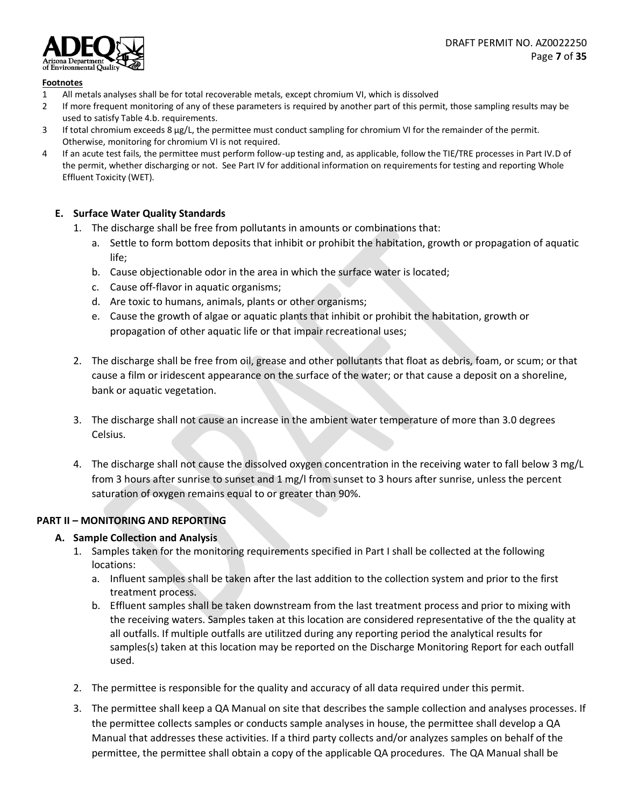

#### **Footnotes**

- 1 All metals analyses shall be for total recoverable metals, except chromium VI, which is dissolved
- 2 If more frequent monitoring of any of these parameters is required by another part of this permit, those sampling results may be used to satisfy Table 4.b. requirements.
- 3 If total chromium exceeds 8 µg/L, the permittee must conduct sampling for chromium VI for the remainder of the permit. Otherwise, monitoring for chromium VI is not required.
- 4 If an acute test fails, the permittee must perform follow-up testing and, as applicable, follow the TIE/TRE processes in Part IV.D of the permit, whether discharging or not. See Part IV for additional information on requirements for testing and reporting Whole Effluent Toxicity (WET).

#### <span id="page-6-0"></span>**E. Surface Water Quality Standards**

- 1. The discharge shall be free from pollutants in amounts or combinations that:
	- a. Settle to form bottom deposits that inhibit or prohibit the habitation, growth or propagation of aquatic life;
	- b. Cause objectionable odor in the area in which the surface water is located;
	- c. Cause off-flavor in aquatic organisms;
	- d. Are toxic to humans, animals, plants or other organisms;
	- e. Cause the growth of algae or aquatic plants that inhibit or prohibit the habitation, growth or propagation of other aquatic life or that impair recreational uses;
- 2. The discharge shall be free from oil, grease and other pollutants that float as debris, foam, or scum; or that cause a film or iridescent appearance on the surface of the water; or that cause a deposit on a shoreline, bank or aquatic vegetation.
- 3. The discharge shall not cause an increase in the ambient water temperature of more than 3.0 degrees Celsius.
- 4. The discharge shall not cause the dissolved oxygen concentration in the receiving water to fall below 3 mg/L from 3 hours after sunrise to sunset and 1 mg/l from sunset to 3 hours after sunrise, unless the percent saturation of oxygen remains equal to or greater than 90%.

# <span id="page-6-2"></span><span id="page-6-1"></span>**PART II – MONITORING AND REPORTING**

# **A. Sample Collection and Analysis**

- 1. Samples taken for the monitoring requirements specified in Part I shall be collected at the following locations:
	- a. Influent samples shall be taken after the last addition to the collection system and prior to the first treatment process.
	- b. Effluent samples shall be taken downstream from the last treatment process and prior to mixing with the receiving waters. Samples taken at this location are considered representative of the the quality at all outfalls. If multiple outfalls are utilitzed during any reporting period the analytical results for samples(s) taken at this location may be reported on the Discharge Monitoring Report for each outfall used.
- 2. The permittee is responsible for the quality and accuracy of all data required under this permit.
- 3. The permittee shall keep a QA Manual on site that describes the sample collection and analyses processes. If the permittee collects samples or conducts sample analyses in house, the permittee shall develop a QA Manual that addresses these activities. If a third party collects and/or analyzes samples on behalf of the permittee, the permittee shall obtain a copy of the applicable QA procedures. The QA Manual shall be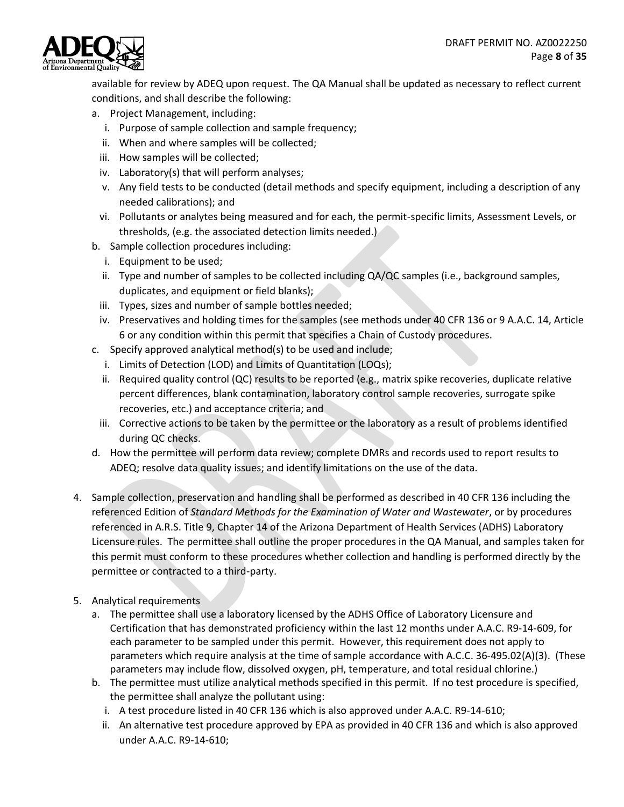

available for review by ADEQ upon request. The QA Manual shall be updated as necessary to reflect current conditions, and shall describe the following:

- a. Project Management, including:
	- i. Purpose of sample collection and sample frequency;
	- ii. When and where samples will be collected;
	- iii. How samples will be collected;
	- iv. Laboratory(s) that will perform analyses;
	- v. Any field tests to be conducted (detail methods and specify equipment, including a description of any needed calibrations); and
	- vi. Pollutants or analytes being measured and for each, the permit-specific limits, Assessment Levels, or thresholds, (e.g. the associated detection limits needed.)
- b. Sample collection procedures including:
	- i. Equipment to be used;
	- ii. Type and number of samples to be collected including QA/QC samples (i.e., background samples, duplicates, and equipment or field blanks);
	- iii. Types, sizes and number of sample bottles needed;
	- iv. Preservatives and holding times for the samples (see methods under 40 CFR 136 or 9 A.A.C. 14, Article 6 or any condition within this permit that specifies a Chain of Custody procedures.
- c. Specify approved analytical method(s) to be used and include;
	- i. Limits of Detection (LOD) and Limits of Quantitation (LOQs);
	- ii. Required quality control (QC) results to be reported (e.g., matrix spike recoveries, duplicate relative percent differences, blank contamination, laboratory control sample recoveries, surrogate spike recoveries, etc.) and acceptance criteria; and
	- iii. Corrective actions to be taken by the permittee or the laboratory as a result of problems identified during QC checks.
- d. How the permittee will perform data review; complete DMRs and records used to report results to ADEQ; resolve data quality issues; and identify limitations on the use of the data.
- 4. Sample collection, preservation and handling shall be performed as described in 40 CFR 136 including the referenced Edition of *Standard Methods for the Examination of Water and Wastewater*, or by procedures referenced in A.R.S. Title 9, Chapter 14 of the Arizona Department of Health Services (ADHS) Laboratory Licensure rules. The permittee shall outline the proper procedures in the QA Manual, and samples taken for this permit must conform to these procedures whether collection and handling is performed directly by the permittee or contracted to a third-party.
- 5. Analytical requirements
	- a. The permittee shall use a laboratory licensed by the ADHS Office of Laboratory Licensure and Certification that has demonstrated proficiency within the last 12 months under A.A.C. R9-14-609, for each parameter to be sampled under this permit. However, this requirement does not apply to parameters which require analysis at the time of sample accordance with A.C.C. 36-495.02(A)(3). (These parameters may include flow, dissolved oxygen, pH, temperature, and total residual chlorine.)
	- b. The permittee must utilize analytical methods specified in this permit. If no test procedure is specified, the permittee shall analyze the pollutant using:
		- i. A test procedure listed in 40 CFR 136 which is also approved under A.A.C. R9-14-610;
		- ii. An alternative test procedure approved by EPA as provided in 40 CFR 136 and which is also approved under A.A.C. R9-14-610;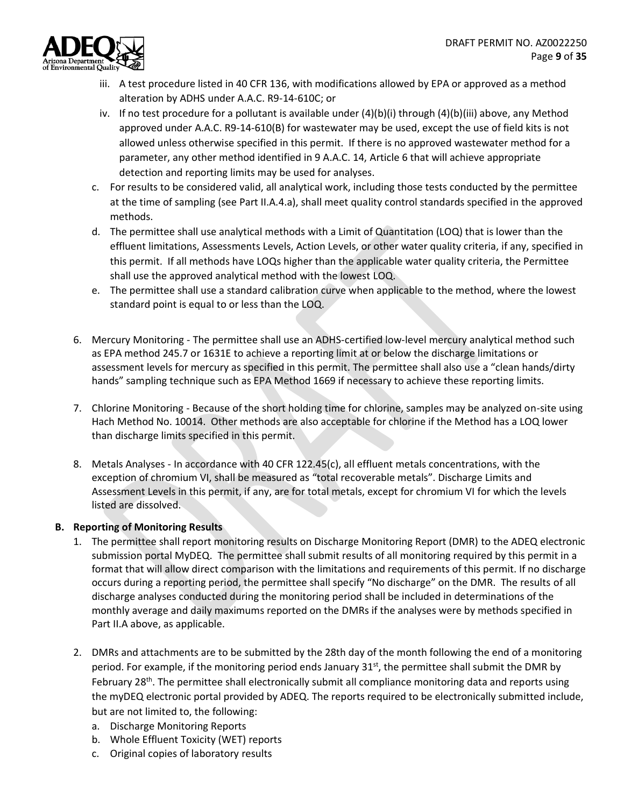

- iii. A test procedure listed in 40 CFR 136, with modifications allowed by EPA or approved as a method alteration by ADHS under A.A.C. R9-14-610C; or
- iv. If no test procedure for a pollutant is available under (4)(b)(i) through (4)(b)(iii) above, any Method approved under A.A.C. R9-14-610(B) for wastewater may be used, except the use of field kits is not allowed unless otherwise specified in this permit. If there is no approved wastewater method for a parameter, any other method identified in 9 A.A.C. 14, Article 6 that will achieve appropriate detection and reporting limits may be used for analyses.
- c. For results to be considered valid, all analytical work, including those tests conducted by the permittee at the time of sampling (see Part II.A.4.a), shall meet quality control standards specified in the approved methods.
- d. The permittee shall use analytical methods with a Limit of Quantitation (LOQ) that is lower than the effluent limitations, Assessments Levels, Action Levels, or other water quality criteria, if any, specified in this permit. If all methods have LOQs higher than the applicable water quality criteria, the Permittee shall use the approved analytical method with the lowest LOQ.
- e. The permittee shall use a standard calibration curve when applicable to the method, where the lowest standard point is equal to or less than the LOQ.
- 6. Mercury Monitoring The permittee shall use an ADHS-certified low-level mercury analytical method such as EPA method 245.7 or 1631E to achieve a reporting limit at or below the discharge limitations or assessment levels for mercury as specified in this permit. The permittee shall also use a "clean hands/dirty hands" sampling technique such as EPA Method 1669 if necessary to achieve these reporting limits.
- 7. Chlorine Monitoring Because of the short holding time for chlorine, samples may be analyzed on-site using Hach Method No. 10014. Other methods are also acceptable for chlorine if the Method has a LOQ lower than discharge limits specified in this permit.
- 8. Metals Analyses In accordance with 40 CFR 122.45(c), all effluent metals concentrations, with the exception of chromium VI, shall be measured as "total recoverable metals". Discharge Limits and Assessment Levels in this permit, if any, are for total metals, except for chromium VI for which the levels listed are dissolved.

# <span id="page-8-0"></span>**B. Reporting of Monitoring Results**

- 1. The permittee shall report monitoring results on Discharge Monitoring Report (DMR) to the ADEQ electronic submission portal MyDEQ. The permittee shall submit results of all monitoring required by this permit in a format that will allow direct comparison with the limitations and requirements of this permit. If no discharge occurs during a reporting period, the permittee shall specify "No discharge" on the DMR. The results of all discharge analyses conducted during the monitoring period shall be included in determinations of the monthly average and daily maximums reported on the DMRs if the analyses were by methods specified in Part II.A above, as applicable.
- 2. DMRs and attachments are to be submitted by the 28th day of the month following the end of a monitoring period. For example, if the monitoring period ends January  $31^{st}$ , the permittee shall submit the DMR by February 28<sup>th</sup>. The permittee shall electronically submit all compliance monitoring data and reports using the myDEQ electronic portal provided by ADEQ. The reports required to be electronically submitted include, but are not limited to, the following:
	- a. Discharge Monitoring Reports
	- b. Whole Effluent Toxicity (WET) reports
	- c. Original copies of laboratory results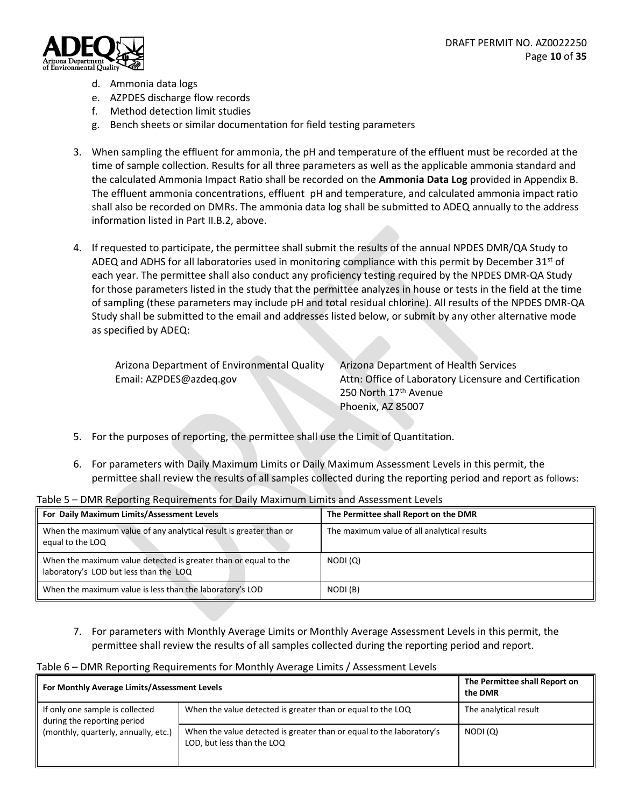

- d. Ammonia data logs
- e. AZPDES discharge flow records
- f. Method detection limit studies
- g. Bench sheets or similar documentation for field testing parameters
- 3. When sampling the effluent for ammonia, the pH and temperature of the effluent must be recorded at the time of sample collection. Results for all three parameters as well as the applicable ammonia standard and the calculated Ammonia Impact Ratio shall be recorded on the **Ammonia Data Log** provided in Appendix B. The effluent ammonia concentrations, effluent pH and temperature, and calculated ammonia impact ratio shall also be recorded on DMRs. The ammonia data log shall be submitted to ADEQ annually to the address information listed in Part II.B.2, above.
- 4. If requested to participate, the permittee shall submit the results of the annual NPDES DMR/QA Study to ADEQ and ADHS for all laboratories used in monitoring compliance with this permit by December 31<sup>st</sup> of each year. The permittee shall also conduct any proficiency testing required by the NPDES DMR-QA Study for those parameters listed in the study that the permittee analyzes in house or tests in the field at the time of sampling (these parameters may include pH and total residual chlorine). All results of the NPDES DMR-QA Study shall be submitted to the email and addresses listed below, or submit by any other alternative mode as specified by ADEQ:

| Arizona Department of Environmental Quality | Arizo |
|---------------------------------------------|-------|
| Email: AZPDES@azdeq.gov                     | Attn: |

na Department of Health Services Office of Laboratory Licensure and Certification 250 North 17<sup>th</sup> Avenue Phoenix, AZ 85007

- 5. For the purposes of reporting, the permittee shall use the Limit of Quantitation.
- 6. For parameters with Daily Maximum Limits or Daily Maximum Assessment Levels in this permit, the permittee shall review the results of all samples collected during the reporting period and report as follows:

| For Daily Maximum Limits/Assessment Levels                                                                | The Permittee shall Report on the DMR       |
|-----------------------------------------------------------------------------------------------------------|---------------------------------------------|
| When the maximum value of any analytical result is greater than or<br>equal to the LOQ                    | The maximum value of all analytical results |
| When the maximum value detected is greater than or equal to the<br>laboratory's LOD but less than the LOQ | NODI (Q)                                    |
| When the maximum value is less than the laboratory's LOD                                                  | NODI (B)                                    |

Table 5 – DMR Reporting Requirements for Daily Maximum Limits and Assessment Levels

7. For parameters with Monthly Average Limits or Monthly Average Assessment Levels in this permit, the permittee shall review the results of all samples collected during the reporting period and report.

|  |  | Table 6 - DMR Reporting Requirements for Monthly Average Limits / Assessment Levels |  |
|--|--|-------------------------------------------------------------------------------------|--|
|--|--|-------------------------------------------------------------------------------------|--|

| For Monthly Average Limits/Assessment Levels                   |                                                                                                    | The Permittee shall Report on<br>the DMR |
|----------------------------------------------------------------|----------------------------------------------------------------------------------------------------|------------------------------------------|
| If only one sample is collected<br>during the reporting period | When the value detected is greater than or equal to the LOQ                                        | The analytical result                    |
| (monthly, quarterly, annually, etc.)                           | When the value detected is greater than or equal to the laboratory's<br>LOD, but less than the LOQ | NODI(Q)                                  |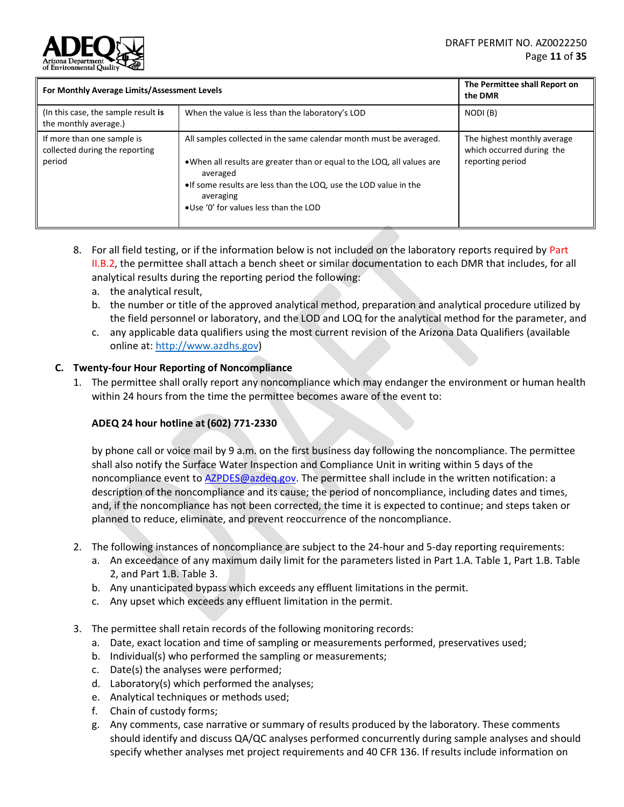

| For Monthly Average Limits/Assessment Levels                           |                                                                                                                                                                                                                                                                                       | The Permittee shall Report on<br>the DMR                                     |
|------------------------------------------------------------------------|---------------------------------------------------------------------------------------------------------------------------------------------------------------------------------------------------------------------------------------------------------------------------------------|------------------------------------------------------------------------------|
| (In this case, the sample result is<br>the monthly average.)           | When the value is less than the laboratory's LOD                                                                                                                                                                                                                                      | NODI (B)                                                                     |
| If more than one sample is<br>collected during the reporting<br>period | All samples collected in the same calendar month must be averaged.<br>• When all results are greater than or equal to the LOQ, all values are<br>averaged<br>• If some results are less than the LOQ, use the LOD value in the<br>averaging<br>. Use '0' for values less than the LOD | The highest monthly average<br>which occurred during the<br>reporting period |

- 8. For all field testing, or if the information below is not included on the laboratory reports required by Part II.B.2, the permittee shall attach a bench sheet or similar documentation to each DMR that includes, for all analytical results during the reporting period the following:
	- a. the analytical result,
	- b. the number or title of the approved analytical method, preparation and analytical procedure utilized by the field personnel or laboratory, and the LOD and LOQ for the analytical method for the parameter, and
	- c. any applicable data qualifiers using the most current revision of the Arizona Data Qualifiers (available online at: http://www.azdhs.gov)

#### <span id="page-10-0"></span>**C. Twenty-four Hour Reporting of Noncompliance**

1. The permittee shall orally report any noncompliance which may endanger the environment or human health within 24 hours from the time the permittee becomes aware of the event to:

#### **ADEQ 24 hour hotline at (602) 771-2330**

by phone call or voice mail by 9 a.m. on the first business day following the noncompliance. The permittee shall also notify the Surface Water Inspection and Compliance Unit in writing within 5 days of the noncompliance event to [AZPDES@azdeq.gov.](mailto:AZPDES@azdeq.gov) The permittee shall include in the written notification: a description of the noncompliance and its cause; the period of noncompliance, including dates and times, and, if the noncompliance has not been corrected, the time it is expected to continue; and steps taken or planned to reduce, eliminate, and prevent reoccurrence of the noncompliance.

- 2. The following instances of noncompliance are subject to the 24-hour and 5-day reporting requirements:
	- a. An exceedance of any maximum daily limit for the parameters listed in Part 1.A. Table 1, Part 1.B. Table 2, and Part 1.B. Table 3.
	- b. Any unanticipated bypass which exceeds any effluent limitations in the permit.
	- c. Any upset which exceeds any effluent limitation in the permit.
- 3. The permittee shall retain records of the following monitoring records:
	- a. Date, exact location and time of sampling or measurements performed, preservatives used;
	- b. Individual(s) who performed the sampling or measurements;
	- c. Date(s) the analyses were performed;
	- d. Laboratory(s) which performed the analyses;
	- e. Analytical techniques or methods used;
	- f. Chain of custody forms;
	- g. Any comments, case narrative or summary of results produced by the laboratory. These comments should identify and discuss QA/QC analyses performed concurrently during sample analyses and should specify whether analyses met project requirements and 40 CFR 136. If results include information on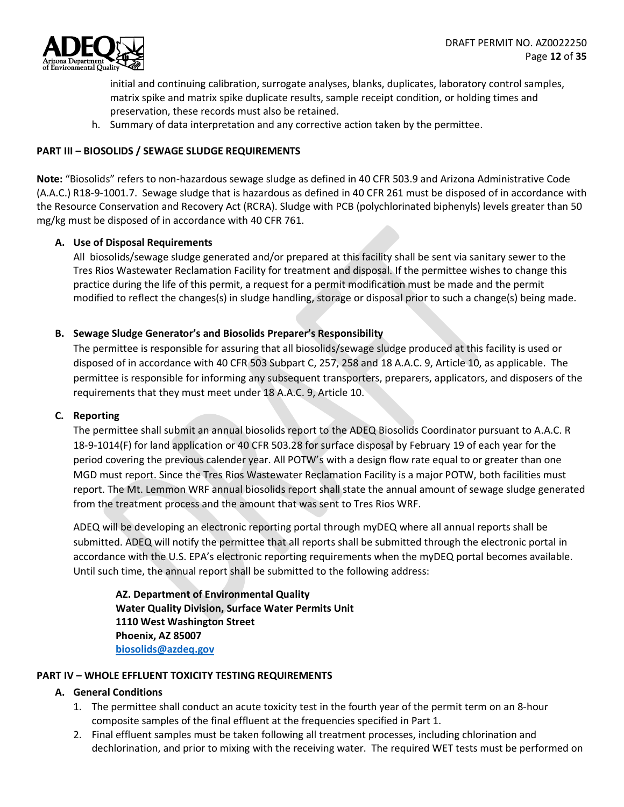

initial and continuing calibration, surrogate analyses, blanks, duplicates, laboratory control samples, matrix spike and matrix spike duplicate results, sample receipt condition, or holding times and preservation, these records must also be retained.

h. Summary of data interpretation and any corrective action taken by the permittee.

## <span id="page-11-0"></span>**PART III – BIOSOLIDS / SEWAGE SLUDGE REQUIREMENTS**

**Note:** "Biosolids" refers to non-hazardous sewage sludge as defined in 40 CFR 503.9 and Arizona Administrative Code (A.A.C.) R18-9-1001.7. Sewage sludge that is hazardous as defined in 40 CFR 261 must be disposed of in accordance with the Resource Conservation and Recovery Act (RCRA). Sludge with PCB (polychlorinated biphenyls) levels greater than 50 mg/kg must be disposed of in accordance with 40 CFR 761.

#### <span id="page-11-1"></span>**A. Use of Disposal Requirements**

All biosolids/sewage sludge generated and/or prepared at this facility shall be sent via sanitary sewer to the Tres Rios Wastewater Reclamation Facility for treatment and disposal. If the permittee wishes to change this practice during the life of this permit, a request for a permit modification must be made and the permit modified to reflect the changes(s) in sludge handling, storage or disposal prior to such a change(s) being made.

#### <span id="page-11-2"></span>**B. Sewage Sludge Generator's and Biosolids Preparer's Responsibility**

The permittee is responsible for assuring that all biosolids/sewage sludge produced at this facility is used or disposed of in accordance with 40 CFR 503 Subpart C, 257, 258 and 18 A.A.C. 9, Article 10, as applicable. The permittee is responsible for informing any subsequent transporters, preparers, applicators, and disposers of the requirements that they must meet under 18 A.A.C. 9, Article 10.

#### <span id="page-11-3"></span>**C. Reporting**

The permittee shall submit an annual biosolids report to the ADEQ Biosolids Coordinator pursuant to A.A.C. R 18-9-1014(F) for land application or 40 CFR 503.28 for surface disposal by February 19 of each year for the period covering the previous calender year. All POTW's with a design flow rate equal to or greater than one MGD must report. Since the Tres Rios Wastewater Reclamation Facility is a major POTW, both facilities must report. The Mt. Lemmon WRF annual biosolids report shall state the annual amount of sewage sludge generated from the treatment process and the amount that was sent to Tres Rios WRF.

ADEQ will be developing an electronic reporting portal through myDEQ where all annual reports shall be submitted. ADEQ will notify the permittee that all reports shall be submitted through the electronic portal in accordance with the U.S. EPA's electronic reporting requirements when the myDEQ portal becomes available. Until such time, the annual report shall be submitted to the following address:

**AZ. Department of Environmental Quality Water Quality Division, Surface Water Permits Unit 1110 West Washington Street Phoenix, AZ 85007 [biosolids@azdeq.gov](mailto:biosolids@azdeq.gov)**

#### <span id="page-11-5"></span><span id="page-11-4"></span>**PART IV – WHOLE EFFLUENT TOXICITY TESTING REQUIREMENTS**

#### **A. General Conditions**

- 1. The permittee shall conduct an acute toxicity test in the fourth year of the permit term on an 8-hour composite samples of the final effluent at the frequencies specified in Part 1.
- 2. Final effluent samples must be taken following all treatment processes, including chlorination and dechlorination, and prior to mixing with the receiving water. The required WET tests must be performed on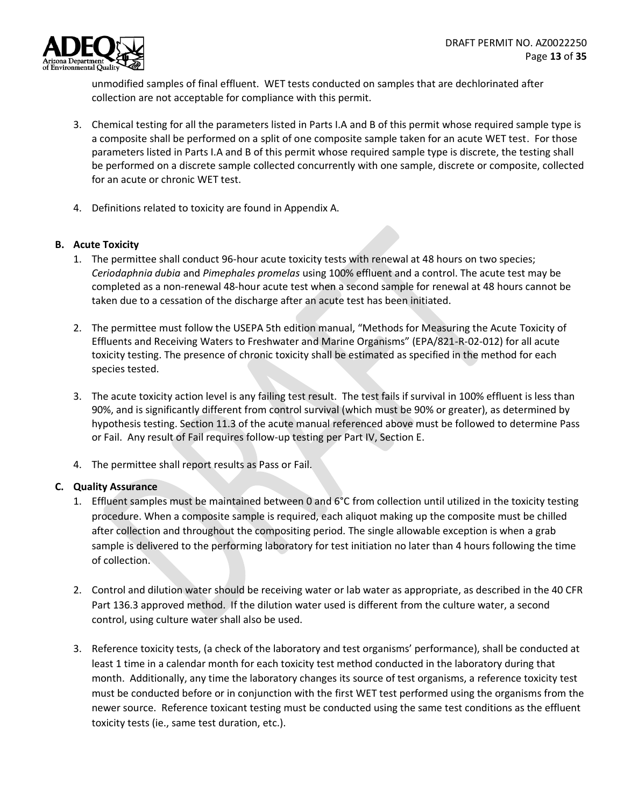

unmodified samples of final effluent. WET tests conducted on samples that are dechlorinated after collection are not acceptable for compliance with this permit.

- 3. Chemical testing for all the parameters listed in Parts I.A and B of this permit whose required sample type is a composite shall be performed on a split of one composite sample taken for an acute WET test. For those parameters listed in Parts I.A and B of this permit whose required sample type is discrete, the testing shall be performed on a discrete sample collected concurrently with one sample, discrete or composite, collected for an acute or chronic WET test.
- 4. Definitions related to toxicity are found in Appendix A.

#### <span id="page-12-0"></span>**B. Acute Toxicity**

- 1. The permittee shall conduct 96-hour acute toxicity tests with renewal at 48 hours on two species; *Ceriodaphnia dubia* and *Pimephales promelas* using 100% effluent and a control. The acute test may be completed as a non-renewal 48-hour acute test when a second sample for renewal at 48 hours cannot be taken due to a cessation of the discharge after an acute test has been initiated.
- 2. The permittee must follow the USEPA 5th edition manual, "Methods for Measuring the Acute Toxicity of Effluents and Receiving Waters to Freshwater and Marine Organisms" (EPA/821-R-02-012) for all acute toxicity testing. The presence of chronic toxicity shall be estimated as specified in the method for each species tested.
- 3. The acute toxicity action level is any failing test result. The test fails if survival in 100% effluent is less than 90%, and is significantly different from control survival (which must be 90% or greater), as determined by hypothesis testing. Section 11.3 of the acute manual referenced above must be followed to determine Pass or Fail. Any result of Fail requires follow-up testing per Part IV, Section E.
- 4. The permittee shall report results as Pass or Fail.

# <span id="page-12-1"></span>**C. Quality Assurance**

- 1. Effluent samples must be maintained between 0 and 6°C from collection until utilized in the toxicity testing procedure. When a composite sample is required, each aliquot making up the composite must be chilled after collection and throughout the compositing period. The single allowable exception is when a grab sample is delivered to the performing laboratory for test initiation no later than 4 hours following the time of collection.
- 2. Control and dilution water should be receiving water or lab water as appropriate, as described in the 40 CFR Part 136.3 approved method. If the dilution water used is different from the culture water, a second control, using culture water shall also be used.
- 3. Reference toxicity tests, (a check of the laboratory and test organisms' performance), shall be conducted at least 1 time in a calendar month for each toxicity test method conducted in the laboratory during that month. Additionally, any time the laboratory changes its source of test organisms, a reference toxicity test must be conducted before or in conjunction with the first WET test performed using the organisms from the newer source. Reference toxicant testing must be conducted using the same test conditions as the effluent toxicity tests (ie., same test duration, etc.).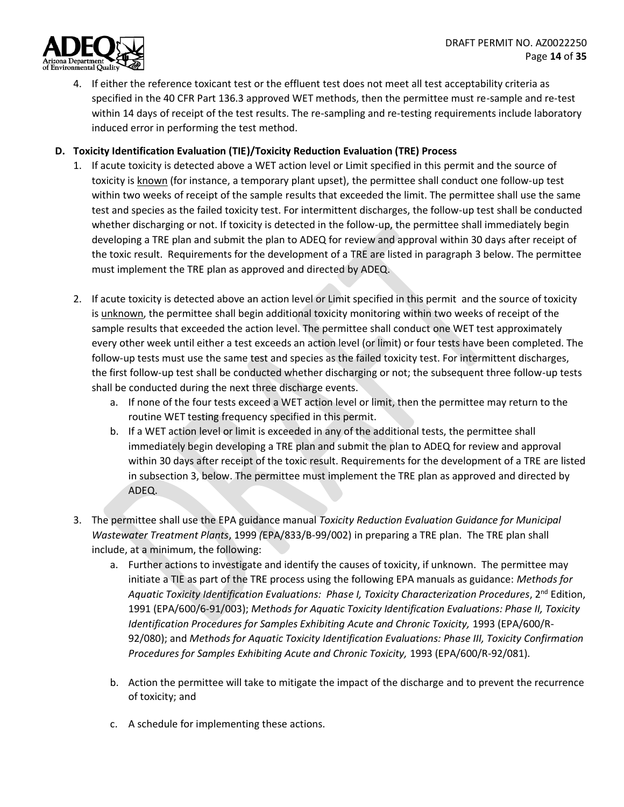

4. If either the reference toxicant test or the effluent test does not meet all test acceptability criteria as specified in the 40 CFR Part 136.3 approved WET methods, then the permittee must re-sample and re-test within 14 days of receipt of the test results. The re-sampling and re-testing requirements include laboratory induced error in performing the test method.

## <span id="page-13-0"></span>**D. Toxicity Identification Evaluation (TIE)/Toxicity Reduction Evaluation (TRE) Process**

- 1. If acute toxicity is detected above a WET action level or Limit specified in this permit and the source of toxicity is known (for instance, a temporary plant upset), the permittee shall conduct one follow-up test within two weeks of receipt of the sample results that exceeded the limit. The permittee shall use the same test and species as the failed toxicity test. For intermittent discharges, the follow-up test shall be conducted whether discharging or not. If toxicity is detected in the follow-up, the permittee shall immediately begin developing a TRE plan and submit the plan to ADEQ for review and approval within 30 days after receipt of the toxic result. Requirements for the development of a TRE are listed in paragraph 3 below. The permittee must implement the TRE plan as approved and directed by ADEQ.
- 2. If acute toxicity is detected above an action level or Limit specified in this permit and the source of toxicity is unknown, the permittee shall begin additional toxicity monitoring within two weeks of receipt of the sample results that exceeded the action level. The permittee shall conduct one WET test approximately every other week until either a test exceeds an action level (or limit) or four tests have been completed. The follow-up tests must use the same test and species as the failed toxicity test. For intermittent discharges, the first follow-up test shall be conducted whether discharging or not; the subsequent three follow-up tests shall be conducted during the next three discharge events.
	- a. If none of the four tests exceed a WET action level or limit, then the permittee may return to the routine WET testing frequency specified in this permit.
	- b. If a WET action level or limit is exceeded in any of the additional tests, the permittee shall immediately begin developing a TRE plan and submit the plan to ADEQ for review and approval within 30 days after receipt of the toxic result. Requirements for the development of a TRE are listed in subsection 3, below. The permittee must implement the TRE plan as approved and directed by ADEQ.
- 3. The permittee shall use the EPA guidance manual *Toxicity Reduction Evaluation Guidance for Municipal Wastewater Treatment Plants*, 1999 *(*EPA/833/B-99/002) in preparing a TRE plan. The TRE plan shall include, at a minimum, the following:
	- a. Further actions to investigate and identify the causes of toxicity, if unknown. The permittee may initiate a TIE as part of the TRE process using the following EPA manuals as guidance: *Methods for Aquatic Toxicity Identification Evaluations: Phase I, Toxicity Characterization Procedures*, 2nd Edition, 1991 (EPA/600/6-91/003); *Methods for Aquatic Toxicity Identification Evaluations: Phase II, Toxicity Identification Procedures for Samples Exhibiting Acute and Chronic Toxicity, 1993 (EPA/600/R-*92/080); and *Methods for Aquatic Toxicity Identification Evaluations: Phase III, Toxicity Confirmation Procedures for Samples Exhibiting Acute and Chronic Toxicity,* 1993 (EPA/600/R-92/081).
	- b. Action the permittee will take to mitigate the impact of the discharge and to prevent the recurrence of toxicity; and
	- c. A schedule for implementing these actions.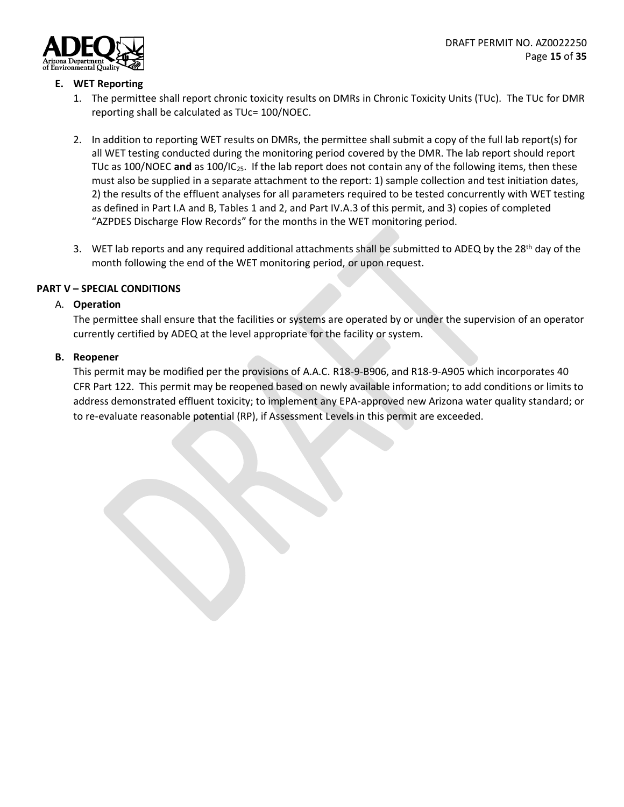

#### <span id="page-14-0"></span>**E. WET Reporting**

- 1. The permittee shall report chronic toxicity results on DMRs in Chronic Toxicity Units (TUc). The TUc for DMR reporting shall be calculated as TUc= 100/NOEC.
- 2. In addition to reporting WET results on DMRs, the permittee shall submit a copy of the full lab report(s) for all WET testing conducted during the monitoring period covered by the DMR. The lab report should report TUc as 100/NOEC **and** as 100/IC25. If the lab report does not contain any of the following items, then these must also be supplied in a separate attachment to the report: 1) sample collection and test initiation dates, 2) the results of the effluent analyses for all parameters required to be tested concurrently with WET testing as defined in Part I.A and B, Tables 1 and 2, and Part IV.A.3 of this permit, and 3) copies of completed "AZPDES Discharge Flow Records" for the months in the WET monitoring period.
- 3. WET lab reports and any required additional attachments shall be submitted to ADEQ by the 28<sup>th</sup> day of the month following the end of the WET monitoring period, or upon request.

#### <span id="page-14-2"></span><span id="page-14-1"></span>**PART V – SPECIAL CONDITIONS**

#### A. **Operation**

The permittee shall ensure that the facilities or systems are operated by or under the supervision of an operator currently certified by ADEQ at the level appropriate for the facility or system.

#### <span id="page-14-3"></span>**B. Reopener**

This permit may be modified per the provisions of A.A.C. R18-9-B906, and R18-9-A905 which incorporates 40 CFR Part 122. This permit may be reopened based on newly available information; to add conditions or limits to address demonstrated effluent toxicity; to implement any EPA-approved new Arizona water quality standard; or to re-evaluate reasonable potential (RP), if Assessment Levels in this permit are exceeded.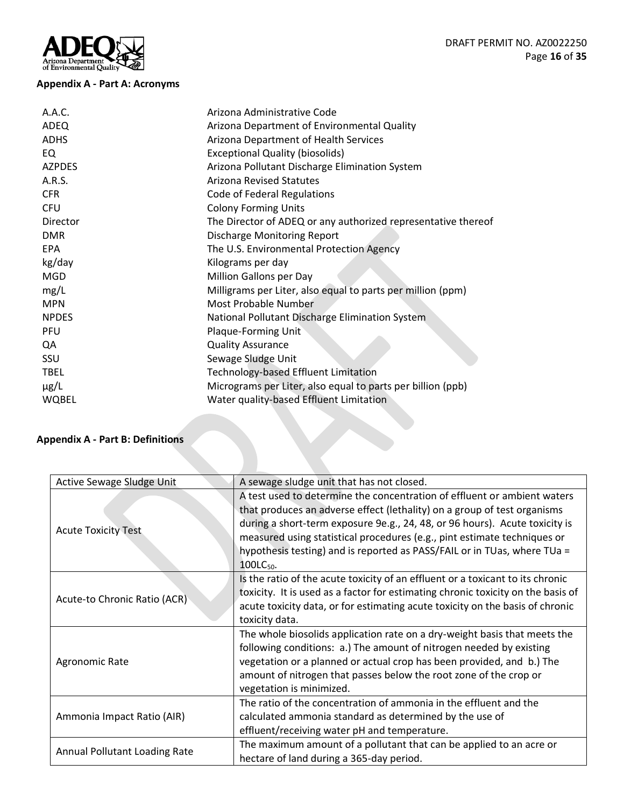# Arizona Department

# <span id="page-15-0"></span>**Appendix A - Part A: Acronyms**

| A.A.C.        | Arizona Administrative Code                                   |
|---------------|---------------------------------------------------------------|
| ADEQ          | Arizona Department of Environmental Quality                   |
| <b>ADHS</b>   | Arizona Department of Health Services                         |
| EQ            | <b>Exceptional Quality (biosolids)</b>                        |
| <b>AZPDES</b> | Arizona Pollutant Discharge Elimination System                |
| A.R.S.        | <b>Arizona Revised Statutes</b>                               |
| <b>CFR</b>    | Code of Federal Regulations                                   |
| <b>CFU</b>    | <b>Colony Forming Units</b>                                   |
| Director      | The Director of ADEQ or any authorized representative thereof |
| <b>DMR</b>    | <b>Discharge Monitoring Report</b>                            |
| EPA           | The U.S. Environmental Protection Agency                      |
| kg/day        | Kilograms per day                                             |
| <b>MGD</b>    | Million Gallons per Day                                       |
| mg/L          | Milligrams per Liter, also equal to parts per million (ppm)   |
| <b>MPN</b>    | Most Probable Number                                          |
| <b>NPDES</b>  | National Pollutant Discharge Elimination System               |
| PFU           | Plaque-Forming Unit                                           |
| QA            | <b>Quality Assurance</b>                                      |
| <b>SSU</b>    | Sewage Sludge Unit                                            |
| <b>TBEL</b>   | <b>Technology-based Effluent Limitation</b>                   |
| $\mu$ g/L     | Micrograms per Liter, also equal to parts per billion (ppb)   |
| WQBEL         | Water quality-based Effluent Limitation                       |
|               |                                                               |

# <span id="page-15-1"></span>**Appendix A - Part B: Definitions**

| Active Sewage Sludge Unit     | A sewage sludge unit that has not closed.                                                                                                                                                                                                                                                                                                                                                                            |
|-------------------------------|----------------------------------------------------------------------------------------------------------------------------------------------------------------------------------------------------------------------------------------------------------------------------------------------------------------------------------------------------------------------------------------------------------------------|
| <b>Acute Toxicity Test</b>    | A test used to determine the concentration of effluent or ambient waters<br>that produces an adverse effect (lethality) on a group of test organisms<br>during a short-term exposure 9e.g., 24, 48, or 96 hours). Acute toxicity is<br>measured using statistical procedures (e.g., pint estimate techniques or<br>hypothesis testing) and is reported as PASS/FAIL or in TUas, where TUa =<br>100LC <sub>50</sub> . |
| Acute-to Chronic Ratio (ACR)  | Is the ratio of the acute toxicity of an effluent or a toxicant to its chronic<br>toxicity. It is used as a factor for estimating chronic toxicity on the basis of<br>acute toxicity data, or for estimating acute toxicity on the basis of chronic<br>toxicity data.                                                                                                                                                |
| Agronomic Rate                | The whole biosolids application rate on a dry-weight basis that meets the<br>following conditions: a.) The amount of nitrogen needed by existing<br>vegetation or a planned or actual crop has been provided, and b.) The<br>amount of nitrogen that passes below the root zone of the crop or<br>vegetation is minimized.                                                                                           |
| Ammonia Impact Ratio (AIR)    | The ratio of the concentration of ammonia in the effluent and the<br>calculated ammonia standard as determined by the use of<br>effluent/receiving water pH and temperature.                                                                                                                                                                                                                                         |
| Annual Pollutant Loading Rate | The maximum amount of a pollutant that can be applied to an acre or<br>hectare of land during a 365-day period.                                                                                                                                                                                                                                                                                                      |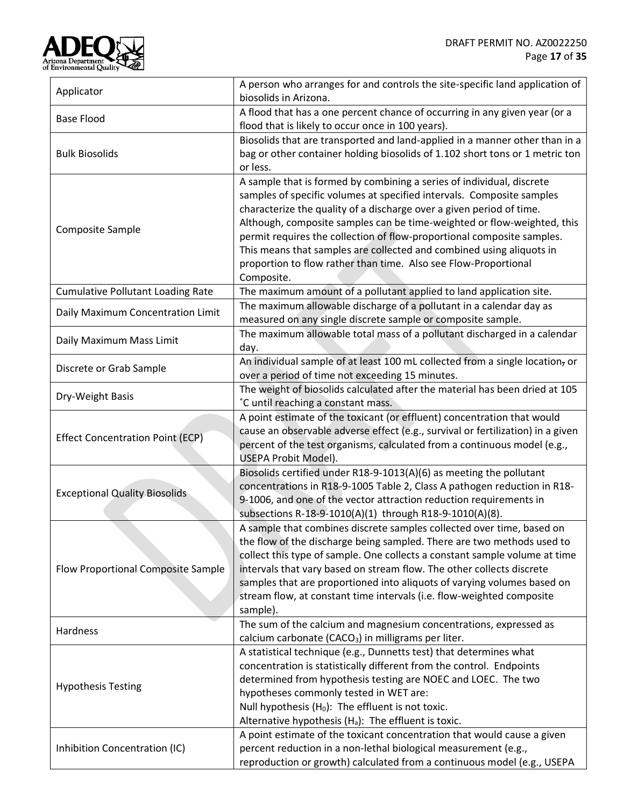

| Applicator                               | A person who arranges for and controls the site-specific land application of    |  |  |
|------------------------------------------|---------------------------------------------------------------------------------|--|--|
|                                          | biosolids in Arizona.                                                           |  |  |
| <b>Base Flood</b>                        | A flood that has a one percent chance of occurring in any given year (or a      |  |  |
|                                          | flood that is likely to occur once in 100 years).                               |  |  |
|                                          | Biosolids that are transported and land-applied in a manner other than in a     |  |  |
| <b>Bulk Biosolids</b>                    | bag or other container holding biosolids of 1.102 short tons or 1 metric ton    |  |  |
|                                          | or less.                                                                        |  |  |
|                                          | A sample that is formed by combining a series of individual, discrete           |  |  |
|                                          | samples of specific volumes at specified intervals. Composite samples           |  |  |
|                                          | characterize the quality of a discharge over a given period of time.            |  |  |
| Composite Sample                         | Although, composite samples can be time-weighted or flow-weighted, this         |  |  |
|                                          | permit requires the collection of flow-proportional composite samples.          |  |  |
|                                          | This means that samples are collected and combined using aliquots in            |  |  |
|                                          | proportion to flow rather than time. Also see Flow-Proportional                 |  |  |
|                                          | Composite.                                                                      |  |  |
| <b>Cumulative Pollutant Loading Rate</b> | The maximum amount of a pollutant applied to land application site.             |  |  |
|                                          | The maximum allowable discharge of a pollutant in a calendar day as             |  |  |
| Daily Maximum Concentration Limit        | measured on any single discrete sample or composite sample.                     |  |  |
|                                          | The maximum allowable total mass of a pollutant discharged in a calendar        |  |  |
| Daily Maximum Mass Limit                 | day.                                                                            |  |  |
|                                          | An individual sample of at least 100 mL collected from a single location, or    |  |  |
| Discrete or Grab Sample                  | over a period of time not exceeding 15 minutes.                                 |  |  |
|                                          | The weight of biosolids calculated after the material has been dried at 105     |  |  |
| Dry-Weight Basis                         | °C until reaching a constant mass.                                              |  |  |
|                                          | A point estimate of the toxicant (or effluent) concentration that would         |  |  |
|                                          | cause an observable adverse effect (e.g., survival or fertilization) in a given |  |  |
| <b>Effect Concentration Point (ECP)</b>  | percent of the test organisms, calculated from a continuous model (e.g.,        |  |  |
|                                          | USEPA Probit Model).                                                            |  |  |
|                                          | Biosolids certified under R18-9-1013(A)(6) as meeting the pollutant             |  |  |
|                                          | concentrations in R18-9-1005 Table 2, Class A pathogen reduction in R18-        |  |  |
| <b>Exceptional Quality Biosolids</b>     | 9-1006, and one of the vector attraction reduction requirements in              |  |  |
|                                          | subsections R-18-9-1010(A)(1) through R18-9-1010(A)(8).                         |  |  |
|                                          | A sample that combines discrete samples collected over time, based on           |  |  |
|                                          | the flow of the discharge being sampled. There are two methods used to          |  |  |
|                                          | collect this type of sample. One collects a constant sample volume at time      |  |  |
| Flow Proportional Composite Sample       | intervals that vary based on stream flow. The other collects discrete           |  |  |
|                                          | samples that are proportioned into aliquots of varying volumes based on         |  |  |
|                                          | stream flow, at constant time intervals (i.e. flow-weighted composite           |  |  |
|                                          | sample).                                                                        |  |  |
|                                          | The sum of the calcium and magnesium concentrations, expressed as               |  |  |
| Hardness                                 | calcium carbonate (CACO <sub>3</sub> ) in milligrams per liter.                 |  |  |
|                                          | A statistical technique (e.g., Dunnetts test) that determines what              |  |  |
|                                          | concentration is statistically different from the control. Endpoints            |  |  |
|                                          | determined from hypothesis testing are NOEC and LOEC. The two                   |  |  |
| <b>Hypothesis Testing</b>                | hypotheses commonly tested in WET are:                                          |  |  |
|                                          | Null hypothesis $(H_0)$ : The effluent is not toxic.                            |  |  |
|                                          | Alternative hypothesis $(H_a)$ : The effluent is toxic.                         |  |  |
|                                          | A point estimate of the toxicant concentration that would cause a given         |  |  |
| Inhibition Concentration (IC)            | percent reduction in a non-lethal biological measurement (e.g.,                 |  |  |
|                                          | reproduction or growth) calculated from a continuous model (e.g., USEPA         |  |  |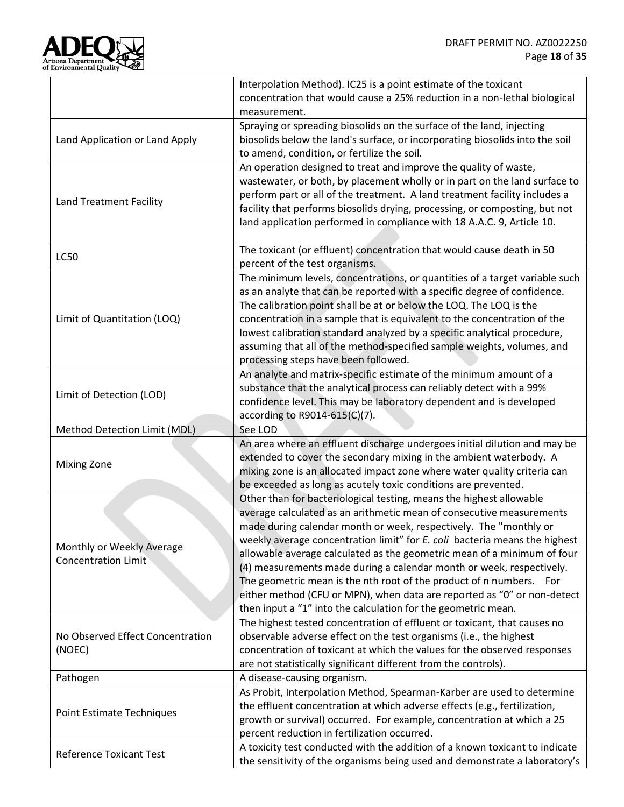

|                                  | Interpolation Method). IC25 is a point estimate of the toxicant                                                                                           |  |  |
|----------------------------------|-----------------------------------------------------------------------------------------------------------------------------------------------------------|--|--|
|                                  | concentration that would cause a 25% reduction in a non-lethal biological                                                                                 |  |  |
|                                  | measurement.                                                                                                                                              |  |  |
|                                  | Spraying or spreading biosolids on the surface of the land, injecting                                                                                     |  |  |
| Land Application or Land Apply   | biosolids below the land's surface, or incorporating biosolids into the soil                                                                              |  |  |
|                                  | to amend, condition, or fertilize the soil.                                                                                                               |  |  |
|                                  | An operation designed to treat and improve the quality of waste,                                                                                          |  |  |
|                                  | wastewater, or both, by placement wholly or in part on the land surface to                                                                                |  |  |
| Land Treatment Facility          | perform part or all of the treatment. A land treatment facility includes a                                                                                |  |  |
|                                  | facility that performs biosolids drying, processing, or composting, but not                                                                               |  |  |
|                                  | land application performed in compliance with 18 A.A.C. 9, Article 10.                                                                                    |  |  |
|                                  |                                                                                                                                                           |  |  |
| <b>LC50</b>                      | The toxicant (or effluent) concentration that would cause death in 50                                                                                     |  |  |
|                                  | percent of the test organisms.                                                                                                                            |  |  |
|                                  | The minimum levels, concentrations, or quantities of a target variable such                                                                               |  |  |
|                                  | as an analyte that can be reported with a specific degree of confidence.                                                                                  |  |  |
| Limit of Quantitation (LOQ)      | The calibration point shall be at or below the LOQ. The LOQ is the<br>concentration in a sample that is equivalent to the concentration of the            |  |  |
|                                  | lowest calibration standard analyzed by a specific analytical procedure,                                                                                  |  |  |
|                                  | assuming that all of the method-specified sample weights, volumes, and                                                                                    |  |  |
|                                  | processing steps have been followed.                                                                                                                      |  |  |
|                                  | An analyte and matrix-specific estimate of the minimum amount of a                                                                                        |  |  |
|                                  | substance that the analytical process can reliably detect with a 99%                                                                                      |  |  |
| Limit of Detection (LOD)         | confidence level. This may be laboratory dependent and is developed                                                                                       |  |  |
|                                  | according to $R9014-615(C)(7)$ .                                                                                                                          |  |  |
|                                  |                                                                                                                                                           |  |  |
|                                  |                                                                                                                                                           |  |  |
| Method Detection Limit (MDL)     | See LOD                                                                                                                                                   |  |  |
|                                  | An area where an effluent discharge undergoes initial dilution and may be                                                                                 |  |  |
| <b>Mixing Zone</b>               | extended to cover the secondary mixing in the ambient waterbody. A                                                                                        |  |  |
|                                  | mixing zone is an allocated impact zone where water quality criteria can                                                                                  |  |  |
|                                  | be exceeded as long as acutely toxic conditions are prevented.                                                                                            |  |  |
|                                  | Other than for bacteriological testing, means the highest allowable                                                                                       |  |  |
|                                  | average calculated as an arithmetic mean of consecutive measurements<br>made during calendar month or week, respectively. The "monthly or                 |  |  |
|                                  | weekly average concentration limit" for E. coli bacteria means the highest                                                                                |  |  |
| Monthly or Weekly Average        | allowable average calculated as the geometric mean of a minimum of four                                                                                   |  |  |
| <b>Concentration Limit</b>       | (4) measurements made during a calendar month or week, respectively.                                                                                      |  |  |
|                                  | The geometric mean is the nth root of the product of n numbers. For                                                                                       |  |  |
|                                  | either method (CFU or MPN), when data are reported as "0" or non-detect                                                                                   |  |  |
|                                  | then input a "1" into the calculation for the geometric mean.                                                                                             |  |  |
|                                  | The highest tested concentration of effluent or toxicant, that causes no                                                                                  |  |  |
| No Observed Effect Concentration | observable adverse effect on the test organisms (i.e., the highest                                                                                        |  |  |
| (NOEC)                           | concentration of toxicant at which the values for the observed responses                                                                                  |  |  |
|                                  | are not statistically significant different from the controls).                                                                                           |  |  |
| Pathogen                         | A disease-causing organism.                                                                                                                               |  |  |
|                                  | As Probit, Interpolation Method, Spearman-Karber are used to determine                                                                                    |  |  |
|                                  | the effluent concentration at which adverse effects (e.g., fertilization,                                                                                 |  |  |
| Point Estimate Techniques        | growth or survival) occurred. For example, concentration at which a 25                                                                                    |  |  |
|                                  | percent reduction in fertilization occurred.                                                                                                              |  |  |
| <b>Reference Toxicant Test</b>   | A toxicity test conducted with the addition of a known toxicant to indicate<br>the sensitivity of the organisms being used and demonstrate a laboratory's |  |  |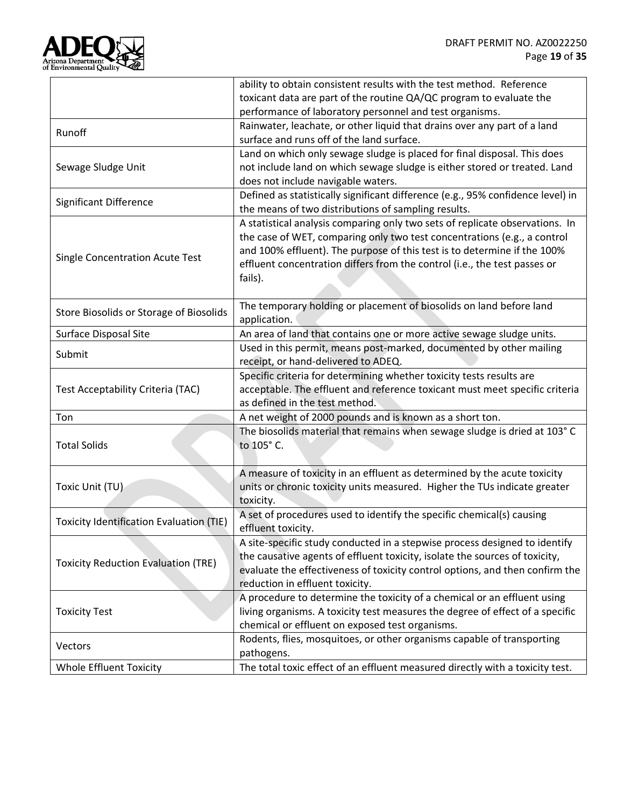

|                                                 | ability to obtain consistent results with the test method. Reference<br>toxicant data are part of the routine QA/QC program to evaluate the                                                                                                                                                                                  |  |
|-------------------------------------------------|------------------------------------------------------------------------------------------------------------------------------------------------------------------------------------------------------------------------------------------------------------------------------------------------------------------------------|--|
|                                                 | performance of laboratory personnel and test organisms.                                                                                                                                                                                                                                                                      |  |
| Runoff                                          | Rainwater, leachate, or other liquid that drains over any part of a land<br>surface and runs off of the land surface.                                                                                                                                                                                                        |  |
| Sewage Sludge Unit                              | Land on which only sewage sludge is placed for final disposal. This does<br>not include land on which sewage sludge is either stored or treated. Land<br>does not include navigable waters.                                                                                                                                  |  |
| Significant Difference                          | Defined as statistically significant difference (e.g., 95% confidence level) in<br>the means of two distributions of sampling results.                                                                                                                                                                                       |  |
| Single Concentration Acute Test                 | A statistical analysis comparing only two sets of replicate observations. In<br>the case of WET, comparing only two test concentrations (e.g., a control<br>and 100% effluent). The purpose of this test is to determine if the 100%<br>effluent concentration differs from the control (i.e., the test passes or<br>fails). |  |
| Store Biosolids or Storage of Biosolids         | The temporary holding or placement of biosolids on land before land<br>application.                                                                                                                                                                                                                                          |  |
| Surface Disposal Site                           | An area of land that contains one or more active sewage sludge units.                                                                                                                                                                                                                                                        |  |
| Submit                                          | Used in this permit, means post-marked, documented by other mailing<br>receipt, or hand-delivered to ADEQ.                                                                                                                                                                                                                   |  |
| Test Acceptability Criteria (TAC)               | Specific criteria for determining whether toxicity tests results are<br>acceptable. The effluent and reference toxicant must meet specific criteria<br>as defined in the test method.                                                                                                                                        |  |
| Ton                                             | A net weight of 2000 pounds and is known as a short ton.                                                                                                                                                                                                                                                                     |  |
| <b>Total Solids</b>                             | The biosolids material that remains when sewage sludge is dried at 103° C<br>to 105° C.                                                                                                                                                                                                                                      |  |
| Toxic Unit (TU)                                 | A measure of toxicity in an effluent as determined by the acute toxicity<br>units or chronic toxicity units measured. Higher the TUs indicate greater<br>toxicity.                                                                                                                                                           |  |
| <b>Toxicity Identification Evaluation (TIE)</b> | A set of procedures used to identify the specific chemical(s) causing<br>effluent toxicity.                                                                                                                                                                                                                                  |  |
| <b>Toxicity Reduction Evaluation (TRE)</b>      | A site-specific study conducted in a stepwise process designed to identify<br>the causative agents of effluent toxicity, isolate the sources of toxicity,<br>evaluate the effectiveness of toxicity control options, and then confirm the<br>reduction in effluent toxicity.                                                 |  |
| <b>Toxicity Test</b>                            | A procedure to determine the toxicity of a chemical or an effluent using<br>living organisms. A toxicity test measures the degree of effect of a specific<br>chemical or effluent on exposed test organisms.                                                                                                                 |  |
| Vectors                                         | Rodents, flies, mosquitoes, or other organisms capable of transporting<br>pathogens.                                                                                                                                                                                                                                         |  |
| <b>Whole Effluent Toxicity</b>                  | The total toxic effect of an effluent measured directly with a toxicity test.                                                                                                                                                                                                                                                |  |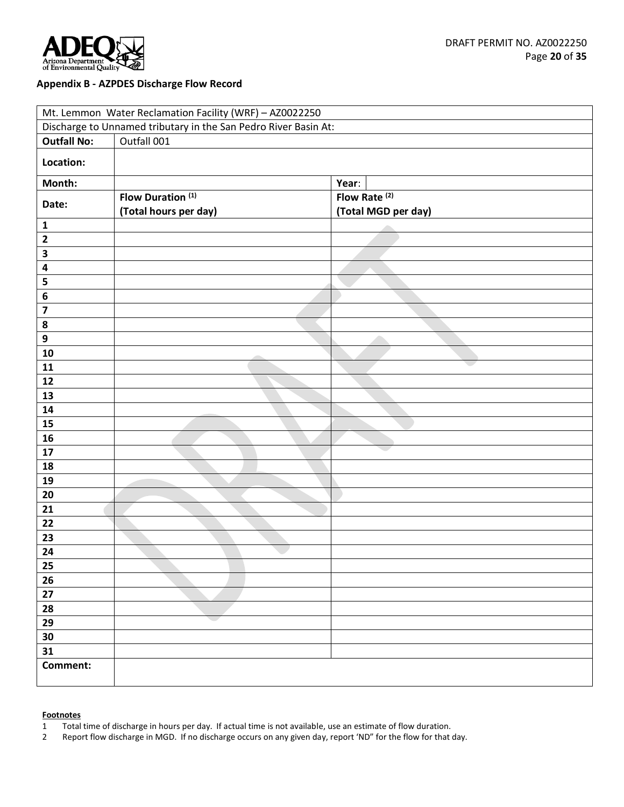

#### <span id="page-19-0"></span>**Appendix B - AZPDES Discharge Flow Record**

| Mt. Lemmon Water Reclamation Facility (WRF) - AZ0022250         |                              |                          |  |  |
|-----------------------------------------------------------------|------------------------------|--------------------------|--|--|
| Discharge to Unnamed tributary in the San Pedro River Basin At: |                              |                          |  |  |
| <b>Outfall No:</b>                                              | Outfall 001                  |                          |  |  |
| Location:                                                       |                              |                          |  |  |
| Month:                                                          |                              | Year:                    |  |  |
| Date:                                                           | Flow Duration <sup>(1)</sup> | Flow Rate <sup>(2)</sup> |  |  |
|                                                                 | (Total hours per day)        | (Total MGD per day)      |  |  |
| $\mathbf{1}$                                                    |                              |                          |  |  |
| $\mathbf{2}$                                                    |                              |                          |  |  |
| $\overline{\mathbf{3}}$                                         |                              |                          |  |  |
| $\overline{\mathbf{4}}$                                         |                              |                          |  |  |
| 5                                                               |                              |                          |  |  |
| $\bf 6$                                                         |                              |                          |  |  |
| $\overline{\mathbf{z}}$                                         |                              |                          |  |  |
| ${\bf 8}$                                                       |                              |                          |  |  |
| $\boldsymbol{9}$                                                |                              |                          |  |  |
| 10                                                              |                              |                          |  |  |
| 11                                                              |                              |                          |  |  |
| 12                                                              |                              |                          |  |  |
| 13                                                              |                              |                          |  |  |
| 14                                                              |                              |                          |  |  |
| ${\bf 15}$                                                      |                              |                          |  |  |
| 16                                                              |                              |                          |  |  |
| 17                                                              |                              |                          |  |  |
| 18                                                              |                              |                          |  |  |
| 19                                                              |                              |                          |  |  |
| 20<br>21                                                        |                              |                          |  |  |
| 22                                                              |                              |                          |  |  |
| 23                                                              |                              |                          |  |  |
| 24                                                              |                              |                          |  |  |
| 25                                                              |                              |                          |  |  |
| 26                                                              |                              |                          |  |  |
| $27$                                                            |                              |                          |  |  |
| 28                                                              |                              |                          |  |  |
| 29                                                              |                              |                          |  |  |
| $30\,$                                                          |                              |                          |  |  |
| 31                                                              |                              |                          |  |  |
| Comment:                                                        |                              |                          |  |  |
|                                                                 |                              |                          |  |  |

- Total time of discharge in hours per day. If actual time is not available, use an estimate of flow duration.
- Report flow discharge in MGD. If no discharge occurs on any given day, report 'ND" for the flow for that day.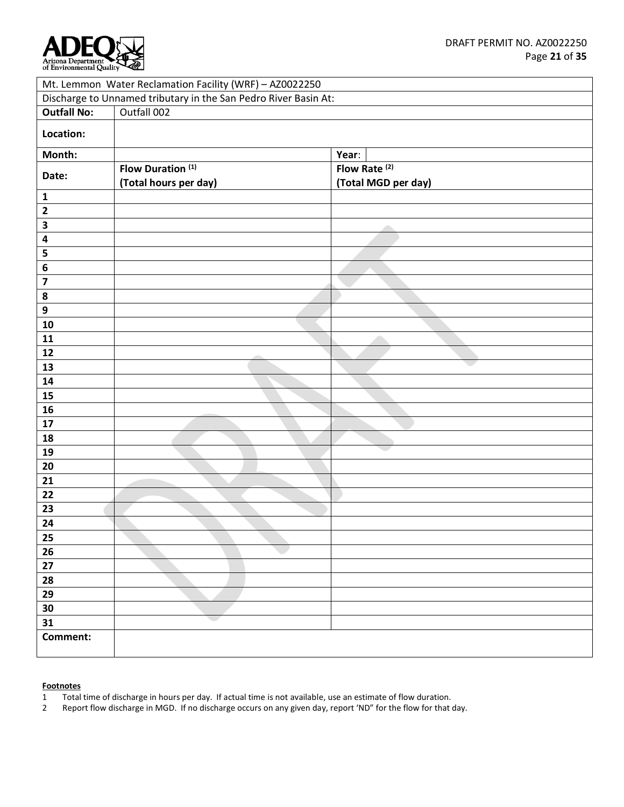

| Mt. Lemmon Water Reclamation Facility (WRF) - AZ0022250         |                              |                          |  |  |
|-----------------------------------------------------------------|------------------------------|--------------------------|--|--|
| Discharge to Unnamed tributary in the San Pedro River Basin At: |                              |                          |  |  |
| <b>Outfall No:</b>                                              | Outfall 002                  |                          |  |  |
| Location:                                                       |                              |                          |  |  |
| Month:                                                          |                              | Year:                    |  |  |
| Date:                                                           | Flow Duration <sup>(1)</sup> | Flow Rate <sup>(2)</sup> |  |  |
|                                                                 | (Total hours per day)        | (Total MGD per day)      |  |  |
| $\mathbf 1$                                                     |                              |                          |  |  |
| $\mathbf{2}$                                                    |                              |                          |  |  |
| $\overline{\mathbf{3}}$                                         |                              |                          |  |  |
| $\overline{\mathbf{4}}$                                         |                              |                          |  |  |
| ${\bf 5}$                                                       |                              |                          |  |  |
| $\bf 6$                                                         |                              |                          |  |  |
| $\overline{\mathbf{z}}$                                         |                              |                          |  |  |
| $\pmb{8}$                                                       |                              |                          |  |  |
| $\boldsymbol{9}$                                                |                              |                          |  |  |
| 10                                                              |                              |                          |  |  |
| 11                                                              |                              |                          |  |  |
| 12                                                              |                              |                          |  |  |
| 13                                                              |                              |                          |  |  |
| 14                                                              |                              |                          |  |  |
| 15                                                              |                              |                          |  |  |
| 16                                                              |                              |                          |  |  |
| $17\,$                                                          |                              |                          |  |  |
| 18                                                              |                              |                          |  |  |
| 19                                                              |                              |                          |  |  |
| 20                                                              |                              |                          |  |  |
| 21                                                              |                              |                          |  |  |
| 22                                                              |                              |                          |  |  |
| 23                                                              |                              |                          |  |  |
| 24                                                              |                              |                          |  |  |
| 25                                                              |                              |                          |  |  |
| 26                                                              |                              |                          |  |  |
| 27                                                              |                              |                          |  |  |
| 28                                                              |                              |                          |  |  |
| 29                                                              |                              |                          |  |  |
| 30                                                              |                              |                          |  |  |
| 31                                                              |                              |                          |  |  |
| Comment:                                                        |                              |                          |  |  |
|                                                                 |                              |                          |  |  |

- Total time of discharge in hours per day. If actual time is not available, use an estimate of flow duration.
- Report flow discharge in MGD. If no discharge occurs on any given day, report 'ND" for the flow for that day.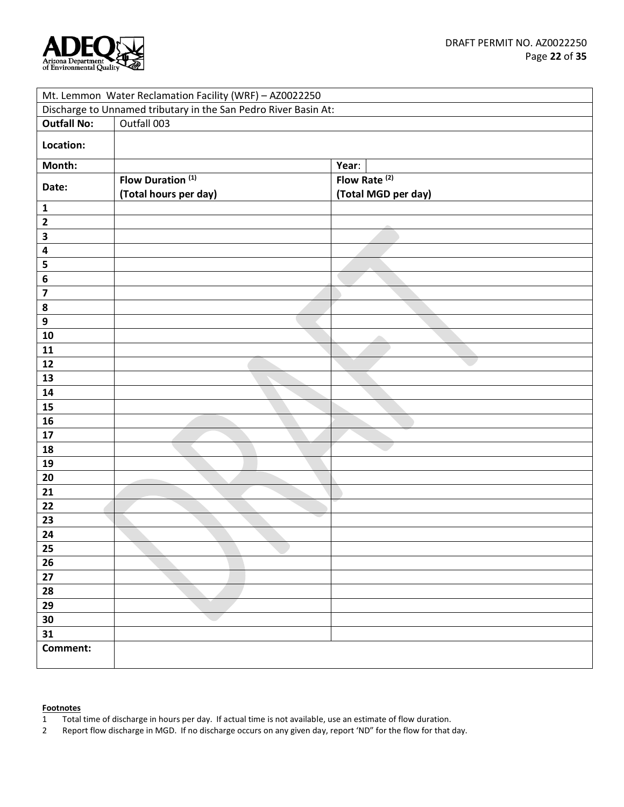

| Mt. Lemmon Water Reclamation Facility (WRF) - AZ0022250         |                              |                          |  |  |
|-----------------------------------------------------------------|------------------------------|--------------------------|--|--|
| Discharge to Unnamed tributary in the San Pedro River Basin At: |                              |                          |  |  |
| <b>Outfall No:</b>                                              | Outfall 003                  |                          |  |  |
| Location:                                                       |                              |                          |  |  |
| Month:                                                          |                              | Year:                    |  |  |
|                                                                 | Flow Duration <sup>(1)</sup> | Flow Rate <sup>(2)</sup> |  |  |
| Date:                                                           | (Total hours per day)        | (Total MGD per day)      |  |  |
| $\mathbf{1}$                                                    |                              |                          |  |  |
| $\overline{\mathbf{2}}$                                         |                              |                          |  |  |
| 3                                                               |                              |                          |  |  |
| 4                                                               |                              |                          |  |  |
| ${\bf 5}$                                                       |                              |                          |  |  |
| 6                                                               |                              |                          |  |  |
| $\overline{\mathbf{z}}$                                         |                              |                          |  |  |
| $\pmb{8}$                                                       |                              |                          |  |  |
| $\boldsymbol{9}$                                                |                              |                          |  |  |
| 10                                                              |                              |                          |  |  |
| 11                                                              |                              |                          |  |  |
| 12                                                              |                              |                          |  |  |
| 13                                                              |                              |                          |  |  |
| ${\bf 14}$                                                      |                              |                          |  |  |
| 15                                                              |                              |                          |  |  |
| 16                                                              |                              |                          |  |  |
| $17\,$                                                          |                              |                          |  |  |
| 18                                                              |                              |                          |  |  |
| 19                                                              |                              |                          |  |  |
| 20                                                              |                              |                          |  |  |
| 21                                                              |                              |                          |  |  |
| 22                                                              |                              |                          |  |  |
| 23                                                              |                              |                          |  |  |
| 24                                                              |                              |                          |  |  |
| 25                                                              |                              |                          |  |  |
| 26                                                              |                              |                          |  |  |
| 27                                                              |                              |                          |  |  |
| 28                                                              |                              |                          |  |  |
| 29                                                              |                              |                          |  |  |
| 30                                                              |                              |                          |  |  |
| 31                                                              |                              |                          |  |  |
| Comment:                                                        |                              |                          |  |  |
|                                                                 |                              |                          |  |  |

- 1 Total time of discharge in hours per day. If actual time is not available, use an estimate of flow duration.<br>2 Report flow discharge in MGD. If no discharge occurs on any given day, report 'ND'' for the flow for that o
- Report flow discharge in MGD. If no discharge occurs on any given day, report 'ND" for the flow for that day.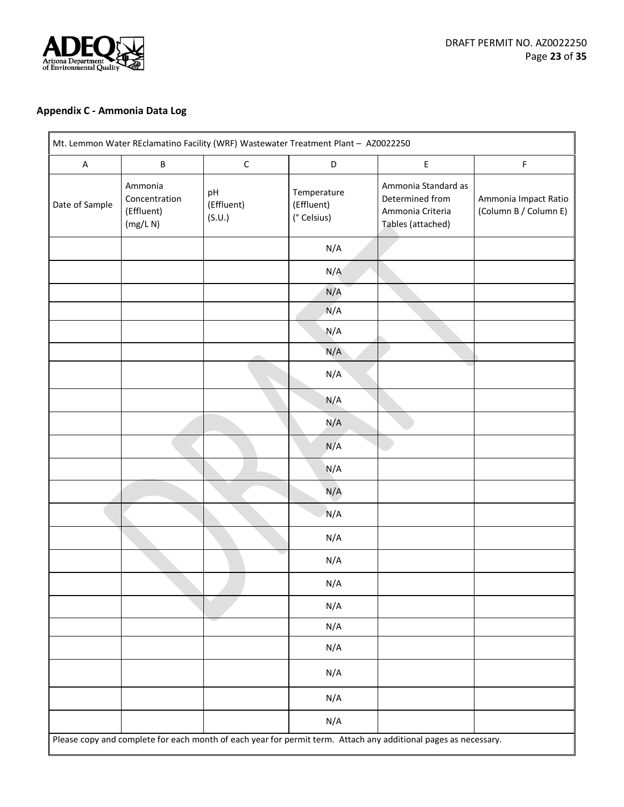

# <span id="page-22-0"></span>**Appendix C - Ammonia Data Log**

|                                                    |                            |                                          |                                                                                 | F                                             |
|----------------------------------------------------|----------------------------|------------------------------------------|---------------------------------------------------------------------------------|-----------------------------------------------|
| Ammonia<br>Concentration<br>(Effluent)<br>(mg/L N) | pH<br>(Effluent)<br>(S.U.) | Temperature<br>(Effluent)<br>(° Celsius) | Ammonia Standard as<br>Determined from<br>Ammonia Criteria<br>Tables (attached) | Ammonia Impact Ratio<br>(Column B / Column E) |
|                                                    |                            | N/A                                      |                                                                                 |                                               |
|                                                    |                            | N/A                                      |                                                                                 |                                               |
|                                                    |                            | N/A                                      |                                                                                 |                                               |
|                                                    |                            | N/A                                      |                                                                                 |                                               |
|                                                    |                            | N/A                                      |                                                                                 |                                               |
|                                                    |                            | N/A                                      |                                                                                 |                                               |
|                                                    |                            | N/A                                      |                                                                                 |                                               |
|                                                    |                            | N/A                                      |                                                                                 |                                               |
|                                                    |                            | N/A                                      |                                                                                 |                                               |
|                                                    |                            | N/A                                      |                                                                                 |                                               |
|                                                    |                            | N/A                                      |                                                                                 |                                               |
|                                                    |                            | N/A                                      |                                                                                 |                                               |
|                                                    |                            | N/A                                      |                                                                                 |                                               |
|                                                    |                            | N/A                                      |                                                                                 |                                               |
|                                                    |                            | N/A                                      |                                                                                 |                                               |
|                                                    |                            | N/A                                      |                                                                                 |                                               |
|                                                    |                            | N/A                                      |                                                                                 |                                               |
|                                                    |                            | N/A                                      |                                                                                 |                                               |
|                                                    |                            | N/A                                      |                                                                                 |                                               |
|                                                    |                            | N/A                                      |                                                                                 |                                               |
|                                                    |                            | N/A                                      |                                                                                 |                                               |
|                                                    |                            | N/A                                      |                                                                                 |                                               |
|                                                    | $\sf B$                    | $\mathsf C$                              | D                                                                               | $\mathsf E$                                   |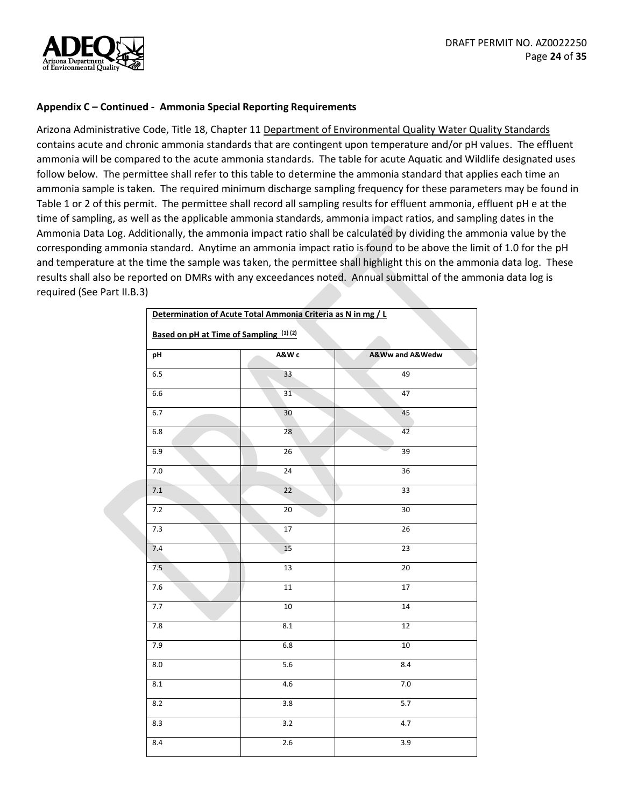

#### **Appendix C – Continued - Ammonia Special Reporting Requirements**

Arizona Administrative Code, Title 18, Chapter 11 Department of Environmental Quality Water Quality Standards contains acute and chronic ammonia standards that are contingent upon temperature and/or pH values. The effluent ammonia will be compared to the acute ammonia standards. The table for acute Aquatic and Wildlife designated uses follow below. The permittee shall refer to this table to determine the ammonia standard that applies each time an ammonia sample is taken. The required minimum discharge sampling frequency for these parameters may be found in Table 1 or 2 of this permit. The permittee shall record all sampling results for effluent ammonia, effluent pH e at the time of sampling, as well as the applicable ammonia standards, ammonia impact ratios, and sampling dates in the Ammonia Data Log. Additionally, the ammonia impact ratio shall be calculated by dividing the ammonia value by the corresponding ammonia standard. Anytime an ammonia impact ratio is found to be above the limit of 1.0 for the pH and temperature at the time the sample was taken, the permittee shall highlight this on the ammonia data log. These results shall also be reported on DMRs with any exceedances noted. Annual submittal of the ammonia data log is required (See Part II.B.3)

| Determination of Acute Total Ammonia Criteria as N in mg / L |                  |                 |  |
|--------------------------------------------------------------|------------------|-----------------|--|
| Based on pH at Time of Sampling (1)(2)                       |                  |                 |  |
| pH                                                           | A&W c            | A&Ww and A&Wedw |  |
| $6.5\,$                                                      | 33               | 49              |  |
| 6.6                                                          | 31               | 47              |  |
| 6.7                                                          | 30               | 45              |  |
| 6.8                                                          | 28               | 42              |  |
| 6.9                                                          | $\overline{26}$  | $\overline{39}$ |  |
| $7.0\,$                                                      | 24               | 36              |  |
| $7.1\,$                                                      | 22               | 33              |  |
| 7.2                                                          | $20\,$           | 30              |  |
| 7.3                                                          | $\overline{17}$  | $\overline{26}$ |  |
| 7.4                                                          | 15               | 23              |  |
| 7.5                                                          | 13               | $\overline{20}$ |  |
| $7.6$                                                        | $11\,$           | 17              |  |
| 7.7                                                          | $10\,$           | 14              |  |
| $7.8$                                                        | $\bf 8.1$        | 12              |  |
| 7.9                                                          | $6.8\,$          | $10\,$          |  |
| 8.0                                                          | 5.6              | 8.4             |  |
| 8.1                                                          | 4.6              | $7.0\,$         |  |
| 8.2                                                          | $\overline{3.8}$ | 5.7             |  |
| 8.3                                                          | $\overline{3.2}$ | 4.7             |  |
| 8.4                                                          | 2.6              | 3.9             |  |
|                                                              |                  |                 |  |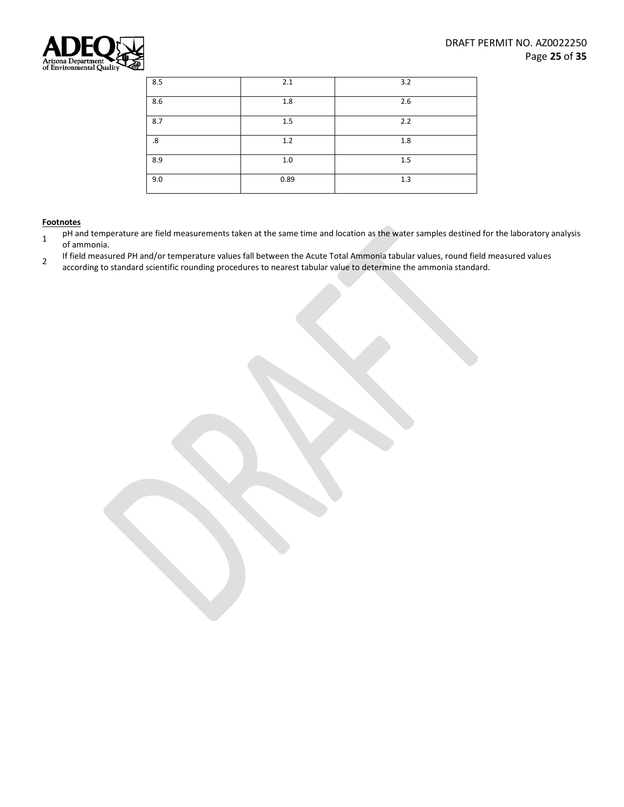

| 8.5               | 2.1  | 3.2 |
|-------------------|------|-----|
| 8.6               | 1.8  | 2.6 |
| 8.7               | 1.5  | 2.2 |
| $\boldsymbol{.8}$ | 1.2  | 1.8 |
| 8.9               | 1.0  | 1.5 |
| 9.0               | 0.89 | 1.3 |

- 1 pH and temperature are field measurements taken at the same time and location as the water samples destined for the laboratory analysis of ammonia.
- <span id="page-24-0"></span>2 If field measured PH and/or temperature values fall between the Acute Total Ammonia tabular values, round field measured values according to standard scientific rounding procedures to nearest tabular value to determine the ammonia standard.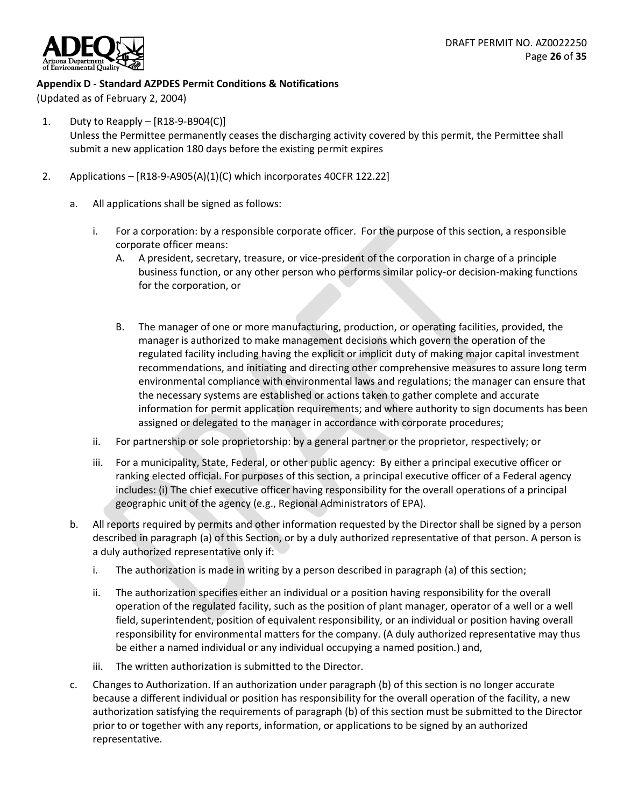

## **Appendix D - Standard AZPDES Permit Conditions & Notifications**

(Updated as of February 2, 2004)

- 1. Duty to Reapply [R18-9-B904(C)] Unless the Permittee permanently ceases the discharging activity covered by this permit, the Permittee shall submit a new application 180 days before the existing permit expires
- 2. Applications [R18-9-A905(A)(1)(C) which incorporates 40CFR 122.22]
	- a. All applications shall be signed as follows:
		- i. For a corporation: by a responsible corporate officer. For the purpose of this section, a responsible corporate officer means:
			- A. A president, secretary, treasure, or vice-president of the corporation in charge of a principle business function, or any other person who performs similar policy-or decision-making functions for the corporation, or
			- B. The manager of one or more manufacturing, production, or operating facilities, provided, the manager is authorized to make management decisions which govern the operation of the regulated facility including having the explicit or implicit duty of making major capital investment recommendations, and initiating and directing other comprehensive measures to assure long term environmental compliance with environmental laws and regulations; the manager can ensure that the necessary systems are established or actions taken to gather complete and accurate information for permit application requirements; and where authority to sign documents has been assigned or delegated to the manager in accordance with corporate procedures;
		- ii. For partnership or sole proprietorship: by a general partner or the proprietor, respectively; or
		- iii. For a municipality, State, Federal, or other public agency: By either a principal executive officer or ranking elected official. For purposes of this section, a principal executive officer of a Federal agency includes: (i) The chief executive officer having responsibility for the overall operations of a principal geographic unit of the agency (e.g., Regional Administrators of EPA).
	- b. All reports required by permits and other information requested by the Director shall be signed by a person described in paragraph (a) of this Section, or by a duly authorized representative of that person. A person is a duly authorized representative only if:
		- i. The authorization is made in writing by a person described in paragraph (a) of this section;
		- ii. The authorization specifies either an individual or a position having responsibility for the overall operation of the regulated facility, such as the position of plant manager, operator of a well or a well field, superintendent, position of equivalent responsibility, or an individual or position having overall responsibility for environmental matters for the company. (A duly authorized representative may thus be either a named individual or any individual occupying a named position.) and,
		- iii. The written authorization is submitted to the Director.
	- c. Changes to Authorization. If an authorization under paragraph (b) of this section is no longer accurate because a different individual or position has responsibility for the overall operation of the facility, a new authorization satisfying the requirements of paragraph (b) of this section must be submitted to the Director prior to or together with any reports, information, or applications to be signed by an authorized representative.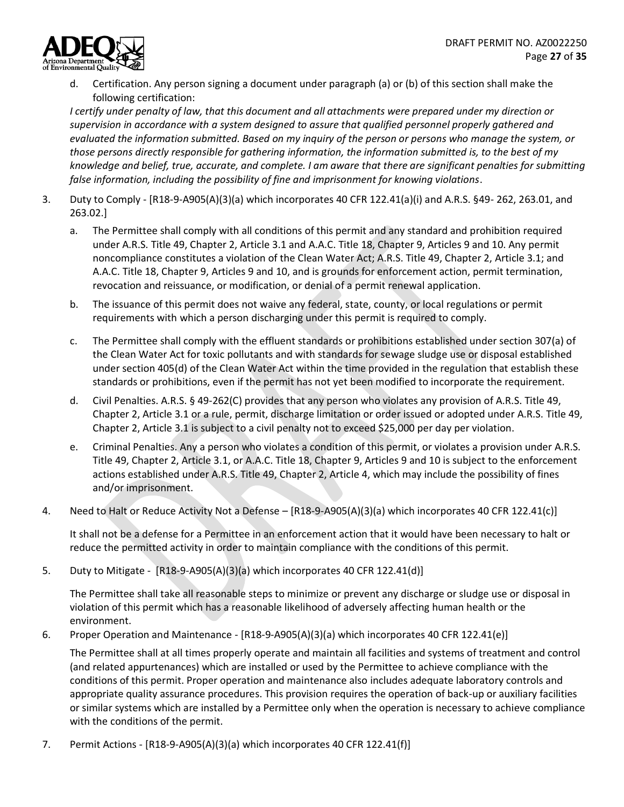

d. Certification. Any person signing a document under paragraph (a) or (b) of this section shall make the following certification:

*I certify under penalty of law, that this document and all attachments were prepared under my direction or supervision in accordance with a system designed to assure that qualified personnel properly gathered and evaluated the information submitted. Based on my inquiry of the person or persons who manage the system, or those persons directly responsible for gathering information, the information submitted is, to the best of my knowledge and belief, true, accurate, and complete. I am aware that there are significant penalties for submitting false information, including the possibility of fine and imprisonment for knowing violations*.

- 3. Duty to Comply [R18-9-A905(A)(3)(a) which incorporates 40 CFR 122.41(a)(i) and A.R.S. §49- 262, 263.01, and 263.02.]
	- a. The Permittee shall comply with all conditions of this permit and any standard and prohibition required under A.R.S. Title 49, Chapter 2, Article 3.1 and A.A.C. Title 18, Chapter 9, Articles 9 and 10. Any permit noncompliance constitutes a violation of the Clean Water Act; A.R.S. Title 49, Chapter 2, Article 3.1; and A.A.C. Title 18, Chapter 9, Articles 9 and 10, and is grounds for enforcement action, permit termination, revocation and reissuance, or modification, or denial of a permit renewal application.
	- b. The issuance of this permit does not waive any federal, state, county, or local regulations or permit requirements with which a person discharging under this permit is required to comply.
	- c. The Permittee shall comply with the effluent standards or prohibitions established under section 307(a) of the Clean Water Act for toxic pollutants and with standards for sewage sludge use or disposal established under section 405(d) of the Clean Water Act within the time provided in the regulation that establish these standards or prohibitions, even if the permit has not yet been modified to incorporate the requirement.
	- d. Civil Penalties. A.R.S. § 49-262(C) provides that any person who violates any provision of A.R.S. Title 49, Chapter 2, Article 3.1 or a rule, permit, discharge limitation or order issued or adopted under A.R.S. Title 49, Chapter 2, Article 3.1 is subject to a civil penalty not to exceed \$25,000 per day per violation.
	- e. Criminal Penalties. Any a person who violates a condition of this permit, or violates a provision under A.R.S. Title 49, Chapter 2, Article 3.1, or A.A.C. Title 18, Chapter 9, Articles 9 and 10 is subject to the enforcement actions established under A.R.S. Title 49, Chapter 2, Article 4, which may include the possibility of fines and/or imprisonment.
- 4. Need to Halt or Reduce Activity Not a Defense [R18-9-A905(A)(3)(a) which incorporates 40 CFR 122.41(c)]

It shall not be a defense for a Permittee in an enforcement action that it would have been necessary to halt or reduce the permitted activity in order to maintain compliance with the conditions of this permit.

5. Duty to Mitigate - [R18-9-A905(A)(3)(a) which incorporates 40 CFR 122.41(d)]

The Permittee shall take all reasonable steps to minimize or prevent any discharge or sludge use or disposal in violation of this permit which has a reasonable likelihood of adversely affecting human health or the environment.

6. Proper Operation and Maintenance - [R18-9-A905(A)(3)(a) which incorporates 40 CFR 122.41(e)]

The Permittee shall at all times properly operate and maintain all facilities and systems of treatment and control (and related appurtenances) which are installed or used by the Permittee to achieve compliance with the conditions of this permit. Proper operation and maintenance also includes adequate laboratory controls and appropriate quality assurance procedures. This provision requires the operation of back-up or auxiliary facilities or similar systems which are installed by a Permittee only when the operation is necessary to achieve compliance with the conditions of the permit.

7. Permit Actions - [R18-9-A905(A)(3)(a) which incorporates 40 CFR 122.41(f)]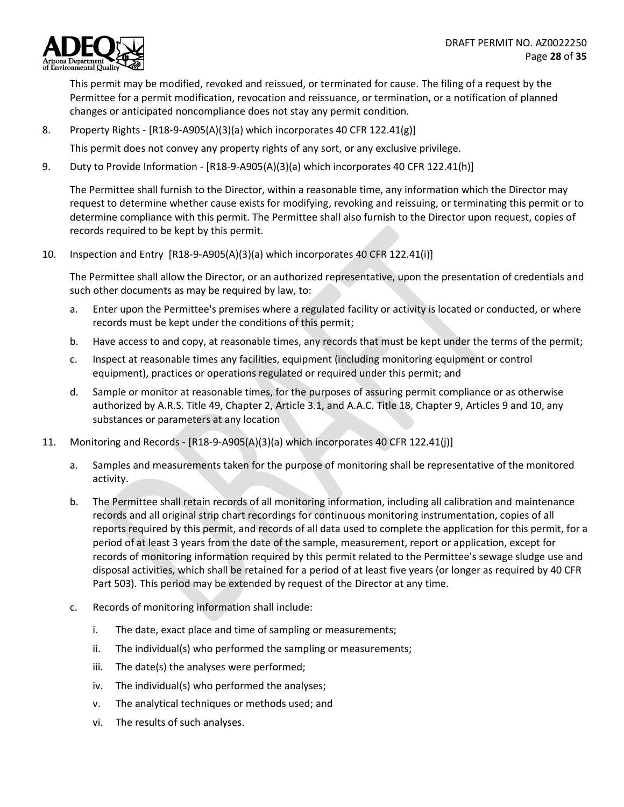

This permit may be modified, revoked and reissued, or terminated for cause. The filing of a request by the Permittee for a permit modification, revocation and reissuance, or termination, or a notification of planned changes or anticipated noncompliance does not stay any permit condition.

8. Property Rights - [R18-9-A905(A)(3)(a) which incorporates 40 CFR 122.41(g)]

This permit does not convey any property rights of any sort, or any exclusive privilege.

9. Duty to Provide Information - [R18-9-A905(A)(3)(a) which incorporates 40 CFR 122.41(h)]

The Permittee shall furnish to the Director, within a reasonable time, any information which the Director may request to determine whether cause exists for modifying, revoking and reissuing, or terminating this permit or to determine compliance with this permit. The Permittee shall also furnish to the Director upon request, copies of records required to be kept by this permit.

10. Inspection and Entry [R18-9-A905(A)(3)(a) which incorporates 40 CFR 122.41(i)]

The Permittee shall allow the Director, or an authorized representative, upon the presentation of credentials and such other documents as may be required by law, to:

- a. Enter upon the Permittee's premises where a regulated facility or activity is located or conducted, or where records must be kept under the conditions of this permit;
- b. Have access to and copy, at reasonable times, any records that must be kept under the terms of the permit;
- c. Inspect at reasonable times any facilities, equipment (including monitoring equipment or control equipment), practices or operations regulated or required under this permit; and
- d. Sample or monitor at reasonable times, for the purposes of assuring permit compliance or as otherwise authorized by A.R.S. Title 49, Chapter 2, Article 3.1, and A.A.C. Title 18, Chapter 9, Articles 9 and 10, any substances or parameters at any location
- 11. Monitoring and Records [R18-9-A905(A)(3)(a) which incorporates 40 CFR 122.41(j)]
	- a. Samples and measurements taken for the purpose of monitoring shall be representative of the monitored activity.
	- b. The Permittee shall retain records of all monitoring information, including all calibration and maintenance records and all original strip chart recordings for continuous monitoring instrumentation, copies of all reports required by this permit, and records of all data used to complete the application for this permit, for a period of at least 3 years from the date of the sample, measurement, report or application, except for records of monitoring information required by this permit related to the Permittee's sewage sludge use and disposal activities, which shall be retained for a period of at least five years (or longer as required by 40 CFR Part 503). This period may be extended by request of the Director at any time.
	- c. Records of monitoring information shall include:
		- i. The date, exact place and time of sampling or measurements;
		- ii. The individual(s) who performed the sampling or measurements;
		- iii. The date(s) the analyses were performed;
		- iv. The individual(s) who performed the analyses;
		- v. The analytical techniques or methods used; and
		- vi. The results of such analyses.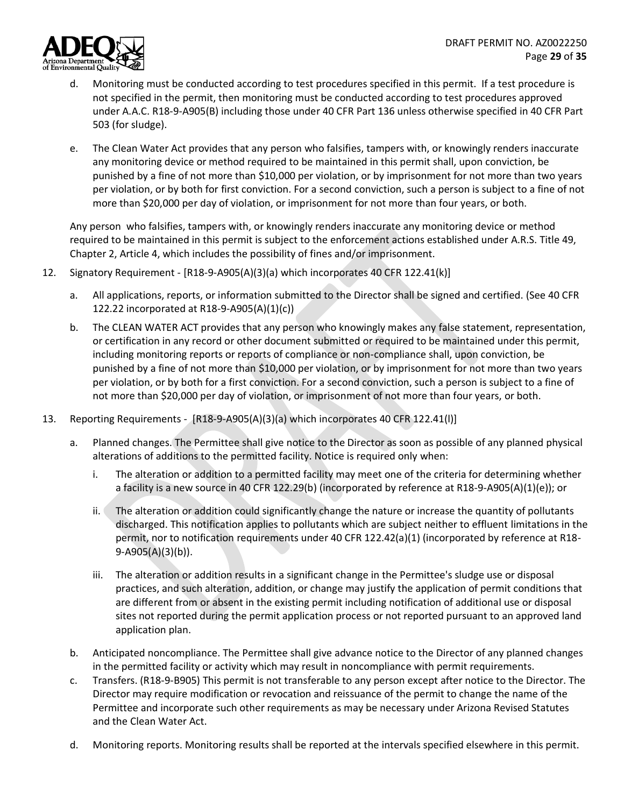

- d. Monitoring must be conducted according to test procedures specified in this permit. If a test procedure is not specified in the permit, then monitoring must be conducted according to test procedures approved under A.A.C. R18-9-A905(B) including those under 40 CFR Part 136 unless otherwise specified in 40 CFR Part 503 (for sludge).
- e. The Clean Water Act provides that any person who falsifies, tampers with, or knowingly renders inaccurate any monitoring device or method required to be maintained in this permit shall, upon conviction, be punished by a fine of not more than \$10,000 per violation, or by imprisonment for not more than two years per violation, or by both for first conviction. For a second conviction, such a person is subject to a fine of not more than \$20,000 per day of violation, or imprisonment for not more than four years, or both.

Any person who falsifies, tampers with, or knowingly renders inaccurate any monitoring device or method required to be maintained in this permit is subject to the enforcement actions established under A.R.S. Title 49, Chapter 2, Article 4, which includes the possibility of fines and/or imprisonment.

- 12. Signatory Requirement [R18-9-A905(A)(3)(a) which incorporates 40 CFR 122.41(k)]
	- a. All applications, reports, or information submitted to the Director shall be signed and certified. (See 40 CFR 122.22 incorporated at R18-9-A905(A)(1)(c))
	- b. The CLEAN WATER ACT provides that any person who knowingly makes any false statement, representation, or certification in any record or other document submitted or required to be maintained under this permit, including monitoring reports or reports of compliance or non-compliance shall, upon conviction, be punished by a fine of not more than \$10,000 per violation, or by imprisonment for not more than two years per violation, or by both for a first conviction. For a second conviction, such a person is subject to a fine of not more than \$20,000 per day of violation, or imprisonment of not more than four years, or both.
- 13. Reporting Requirements [R18-9-A905(A)(3)(a) which incorporates 40 CFR 122.41(l)]
	- a. Planned changes. The Permittee shall give notice to the Director as soon as possible of any planned physical alterations of additions to the permitted facility. Notice is required only when:
		- i. The alteration or addition to a permitted facility may meet one of the criteria for determining whether a facility is a new source in 40 CFR 122.29(b) (incorporated by reference at R18-9-A905(A)(1)(e)); or
		- ii. The alteration or addition could significantly change the nature or increase the quantity of pollutants discharged. This notification applies to pollutants which are subject neither to effluent limitations in the permit, nor to notification requirements under 40 CFR 122.42(a)(1) (incorporated by reference at R18- 9-A905(A)(3)(b)).
		- iii. The alteration or addition results in a significant change in the Permittee's sludge use or disposal practices, and such alteration, addition, or change may justify the application of permit conditions that are different from or absent in the existing permit including notification of additional use or disposal sites not reported during the permit application process or not reported pursuant to an approved land application plan.
	- b. Anticipated noncompliance. The Permittee shall give advance notice to the Director of any planned changes in the permitted facility or activity which may result in noncompliance with permit requirements.
	- c. Transfers. (R18-9-B905) This permit is not transferable to any person except after notice to the Director. The Director may require modification or revocation and reissuance of the permit to change the name of the Permittee and incorporate such other requirements as may be necessary under Arizona Revised Statutes and the Clean Water Act.
	- d. Monitoring reports. Monitoring results shall be reported at the intervals specified elsewhere in this permit.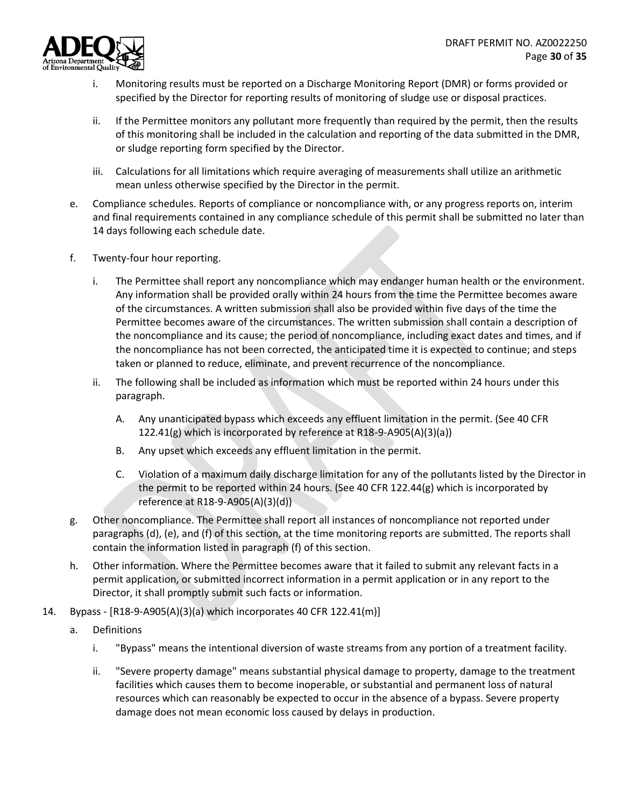

- i. Monitoring results must be reported on a Discharge Monitoring Report (DMR) or forms provided or specified by the Director for reporting results of monitoring of sludge use or disposal practices.
- ii. If the Permittee monitors any pollutant more frequently than required by the permit, then the results of this monitoring shall be included in the calculation and reporting of the data submitted in the DMR, or sludge reporting form specified by the Director.
- iii. Calculations for all limitations which require averaging of measurements shall utilize an arithmetic mean unless otherwise specified by the Director in the permit.
- e. Compliance schedules. Reports of compliance or noncompliance with, or any progress reports on, interim and final requirements contained in any compliance schedule of this permit shall be submitted no later than 14 days following each schedule date.
- f. Twenty-four hour reporting.
	- i. The Permittee shall report any noncompliance which may endanger human health or the environment. Any information shall be provided orally within 24 hours from the time the Permittee becomes aware of the circumstances. A written submission shall also be provided within five days of the time the Permittee becomes aware of the circumstances. The written submission shall contain a description of the noncompliance and its cause; the period of noncompliance, including exact dates and times, and if the noncompliance has not been corrected, the anticipated time it is expected to continue; and steps taken or planned to reduce, eliminate, and prevent recurrence of the noncompliance.
	- ii. The following shall be included as information which must be reported within 24 hours under this paragraph.
		- A. Any unanticipated bypass which exceeds any effluent limitation in the permit. (See 40 CFR 122.41(g) which is incorporated by reference at R18-9-A905(A)(3)(a))
		- B. Any upset which exceeds any effluent limitation in the permit.
		- C. Violation of a maximum daily discharge limitation for any of the pollutants listed by the Director in the permit to be reported within 24 hours. (See 40 CFR 122.44(g) which is incorporated by reference at R18-9-A905(A)(3)(d))
- g. Other noncompliance. The Permittee shall report all instances of noncompliance not reported under paragraphs (d), (e), and (f) of this section, at the time monitoring reports are submitted. The reports shall contain the information listed in paragraph (f) of this section.
- h. Other information. Where the Permittee becomes aware that it failed to submit any relevant facts in a permit application, or submitted incorrect information in a permit application or in any report to the Director, it shall promptly submit such facts or information.
- 14. Bypass [R18-9-A905(A)(3)(a) which incorporates 40 CFR 122.41(m)]
	- a. Definitions
		- i. "Bypass" means the intentional diversion of waste streams from any portion of a treatment facility.
		- ii. "Severe property damage" means substantial physical damage to property, damage to the treatment facilities which causes them to become inoperable, or substantial and permanent loss of natural resources which can reasonably be expected to occur in the absence of a bypass. Severe property damage does not mean economic loss caused by delays in production.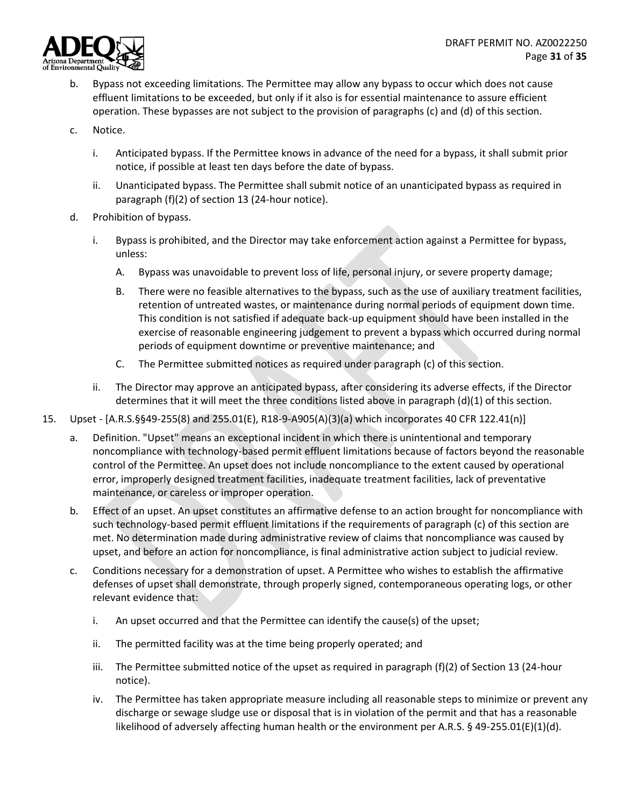

- b. Bypass not exceeding limitations. The Permittee may allow any bypass to occur which does not cause effluent limitations to be exceeded, but only if it also is for essential maintenance to assure efficient operation. These bypasses are not subject to the provision of paragraphs (c) and (d) of this section.
- c. Notice.
	- i. Anticipated bypass. If the Permittee knows in advance of the need for a bypass, it shall submit prior notice, if possible at least ten days before the date of bypass.
	- ii. Unanticipated bypass. The Permittee shall submit notice of an unanticipated bypass as required in paragraph (f)(2) of section 13 (24-hour notice).
- d. Prohibition of bypass.
	- i. Bypass is prohibited, and the Director may take enforcement action against a Permittee for bypass, unless:
		- A. Bypass was unavoidable to prevent loss of life, personal injury, or severe property damage;
		- B. There were no feasible alternatives to the bypass, such as the use of auxiliary treatment facilities, retention of untreated wastes, or maintenance during normal periods of equipment down time. This condition is not satisfied if adequate back-up equipment should have been installed in the exercise of reasonable engineering judgement to prevent a bypass which occurred during normal periods of equipment downtime or preventive maintenance; and
		- C. The Permittee submitted notices as required under paragraph (c) of this section.
	- ii. The Director may approve an anticipated bypass, after considering its adverse effects, if the Director determines that it will meet the three conditions listed above in paragraph (d)(1) of this section.
- 15. Upset [A.R.S.§§49-255(8) and 255.01(E), R18-9-A905(A)(3)(a) which incorporates 40 CFR 122.41(n)]
	- a. Definition. "Upset" means an exceptional incident in which there is unintentional and temporary noncompliance with technology-based permit effluent limitations because of factors beyond the reasonable control of the Permittee. An upset does not include noncompliance to the extent caused by operational error, improperly designed treatment facilities, inadequate treatment facilities, lack of preventative maintenance, or careless or improper operation.
	- b. Effect of an upset. An upset constitutes an affirmative defense to an action brought for noncompliance with such technology-based permit effluent limitations if the requirements of paragraph (c) of this section are met. No determination made during administrative review of claims that noncompliance was caused by upset, and before an action for noncompliance, is final administrative action subject to judicial review.
	- c. Conditions necessary for a demonstration of upset. A Permittee who wishes to establish the affirmative defenses of upset shall demonstrate, through properly signed, contemporaneous operating logs, or other relevant evidence that:
		- i. An upset occurred and that the Permittee can identify the cause(s) of the upset;
		- ii. The permitted facility was at the time being properly operated; and
		- iii. The Permittee submitted notice of the upset as required in paragraph (f)(2) of Section 13 (24-hour notice).
		- iv. The Permittee has taken appropriate measure including all reasonable steps to minimize or prevent any discharge or sewage sludge use or disposal that is in violation of the permit and that has a reasonable likelihood of adversely affecting human health or the environment per A.R.S. § 49-255.01(E)(1)(d).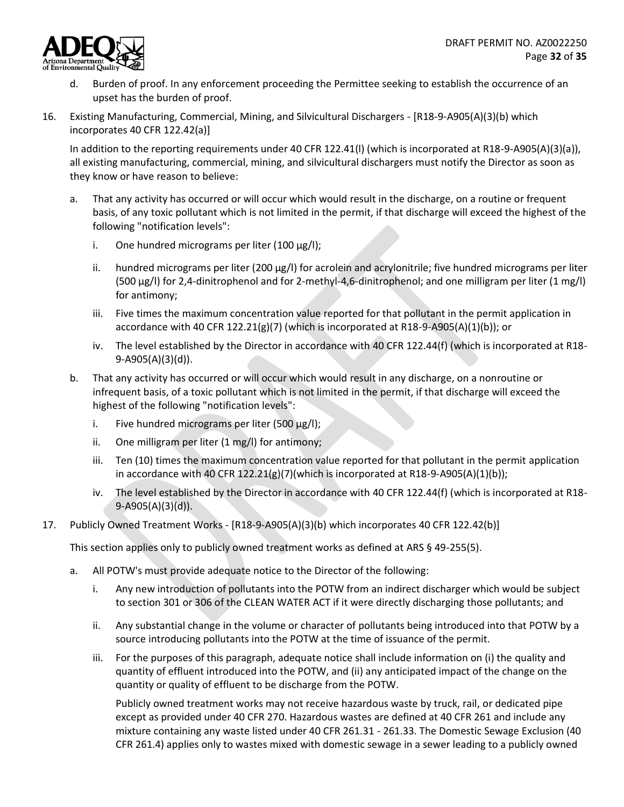

- d. Burden of proof. In any enforcement proceeding the Permittee seeking to establish the occurrence of an upset has the burden of proof.
- 16. Existing Manufacturing, Commercial, Mining, and Silvicultural Dischargers [R18-9-A905(A)(3)(b) which incorporates 40 CFR 122.42(a)]

In addition to the reporting requirements under 40 CFR 122.41(l) (which is incorporated at R18-9-A905(A)(3)(a)), all existing manufacturing, commercial, mining, and silvicultural dischargers must notify the Director as soon as they know or have reason to believe:

- a. That any activity has occurred or will occur which would result in the discharge, on a routine or frequent basis, of any toxic pollutant which is not limited in the permit, if that discharge will exceed the highest of the following "notification levels":
	- i. One hundred micrograms per liter (100 μg/l);
	- ii. hundred micrograms per liter (200 μg/l) for acrolein and acrylonitrile; five hundred micrograms per liter (500 μg/l) for 2,4-dinitrophenol and for 2-methyl-4,6-dinitrophenol; and one milligram per liter (1 mg/l) for antimony;
	- iii. Five times the maximum concentration value reported for that pollutant in the permit application in accordance with 40 CFR 122.21(g)(7) (which is incorporated at R18-9-A905(A)(1)(b)); or
	- iv. The level established by the Director in accordance with 40 CFR 122.44(f) (which is incorporated at R18- 9-A905(A)(3)(d)).
- b. That any activity has occurred or will occur which would result in any discharge, on a nonroutine or infrequent basis, of a toxic pollutant which is not limited in the permit, if that discharge will exceed the highest of the following "notification levels":
	- i. Five hundred micrograms per liter (500  $\mu$ g/l);
	- ii. One milligram per liter (1 mg/l) for antimony;
	- iii. Ten (10) times the maximum concentration value reported for that pollutant in the permit application in accordance with 40 CFR 122.21(g)(7)(which is incorporated at R18-9-A905(A)(1)(b));
	- iv. The level established by the Director in accordance with 40 CFR 122.44(f) (which is incorporated at R18- 9-A905(A)(3)(d)).
- 17. Publicly Owned Treatment Works [R18-9-A905(A)(3)(b) which incorporates 40 CFR 122.42(b)]

This section applies only to publicly owned treatment works as defined at ARS § 49-255(5).

- a. All POTW's must provide adequate notice to the Director of the following:
	- i. Any new introduction of pollutants into the POTW from an indirect discharger which would be subject to section 301 or 306 of the CLEAN WATER ACT if it were directly discharging those pollutants; and
	- ii. Any substantial change in the volume or character of pollutants being introduced into that POTW by a source introducing pollutants into the POTW at the time of issuance of the permit.
	- iii. For the purposes of this paragraph, adequate notice shall include information on (i) the quality and quantity of effluent introduced into the POTW, and (ii) any anticipated impact of the change on the quantity or quality of effluent to be discharge from the POTW.

Publicly owned treatment works may not receive hazardous waste by truck, rail, or dedicated pipe except as provided under 40 CFR 270. Hazardous wastes are defined at 40 CFR 261 and include any mixture containing any waste listed under 40 CFR 261.31 - 261.33. The Domestic Sewage Exclusion (40 CFR 261.4) applies only to wastes mixed with domestic sewage in a sewer leading to a publicly owned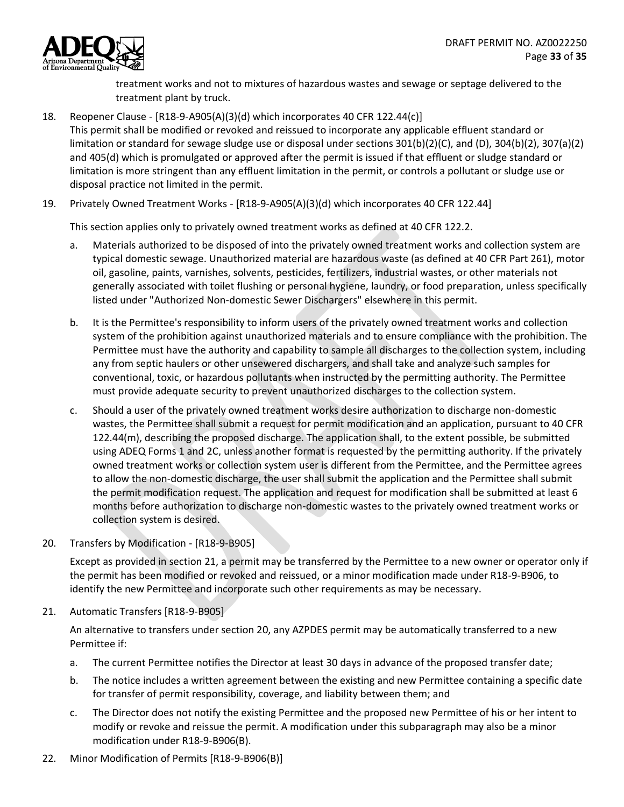

treatment works and not to mixtures of hazardous wastes and sewage or septage delivered to the treatment plant by truck.

18. Reopener Clause - [R18-9-A905(A)(3)(d) which incorporates 40 CFR 122.44(c)] This permit shall be modified or revoked and reissued to incorporate any applicable effluent standard or limitation or standard for sewage sludge use or disposal under sections 301(b)(2)(C), and (D), 304(b)(2), 307(a)(2) and 405(d) which is promulgated or approved after the permit is issued if that effluent or sludge standard or limitation is more stringent than any effluent limitation in the permit, or controls a pollutant or sludge use or disposal practice not limited in the permit.

19. Privately Owned Treatment Works - [R18-9-A905(A)(3)(d) which incorporates 40 CFR 122.44]

This section applies only to privately owned treatment works as defined at 40 CFR 122.2.

- a. Materials authorized to be disposed of into the privately owned treatment works and collection system are typical domestic sewage. Unauthorized material are hazardous waste (as defined at 40 CFR Part 261), motor oil, gasoline, paints, varnishes, solvents, pesticides, fertilizers, industrial wastes, or other materials not generally associated with toilet flushing or personal hygiene, laundry, or food preparation, unless specifically listed under "Authorized Non-domestic Sewer Dischargers" elsewhere in this permit.
- b. It is the Permittee's responsibility to inform users of the privately owned treatment works and collection system of the prohibition against unauthorized materials and to ensure compliance with the prohibition. The Permittee must have the authority and capability to sample all discharges to the collection system, including any from septic haulers or other unsewered dischargers, and shall take and analyze such samples for conventional, toxic, or hazardous pollutants when instructed by the permitting authority. The Permittee must provide adequate security to prevent unauthorized discharges to the collection system.
- c. Should a user of the privately owned treatment works desire authorization to discharge non-domestic wastes, the Permittee shall submit a request for permit modification and an application, pursuant to 40 CFR 122.44(m), describing the proposed discharge. The application shall, to the extent possible, be submitted using ADEQ Forms 1 and 2C, unless another format is requested by the permitting authority. If the privately owned treatment works or collection system user is different from the Permittee, and the Permittee agrees to allow the non-domestic discharge, the user shall submit the application and the Permittee shall submit the permit modification request. The application and request for modification shall be submitted at least 6 months before authorization to discharge non-domestic wastes to the privately owned treatment works or collection system is desired.
- 20. Transfers by Modification [R18-9-B905]

Except as provided in section 21, a permit may be transferred by the Permittee to a new owner or operator only if the permit has been modified or revoked and reissued, or a minor modification made under R18-9-B906, to identify the new Permittee and incorporate such other requirements as may be necessary.

21. Automatic Transfers [R18-9-B905]

An alternative to transfers under section 20, any AZPDES permit may be automatically transferred to a new Permittee if:

- a. The current Permittee notifies the Director at least 30 days in advance of the proposed transfer date;
- b. The notice includes a written agreement between the existing and new Permittee containing a specific date for transfer of permit responsibility, coverage, and liability between them; and
- c. The Director does not notify the existing Permittee and the proposed new Permittee of his or her intent to modify or revoke and reissue the permit. A modification under this subparagraph may also be a minor modification under R18-9-B906(B).
- 22. Minor Modification of Permits [R18-9-B906(B)]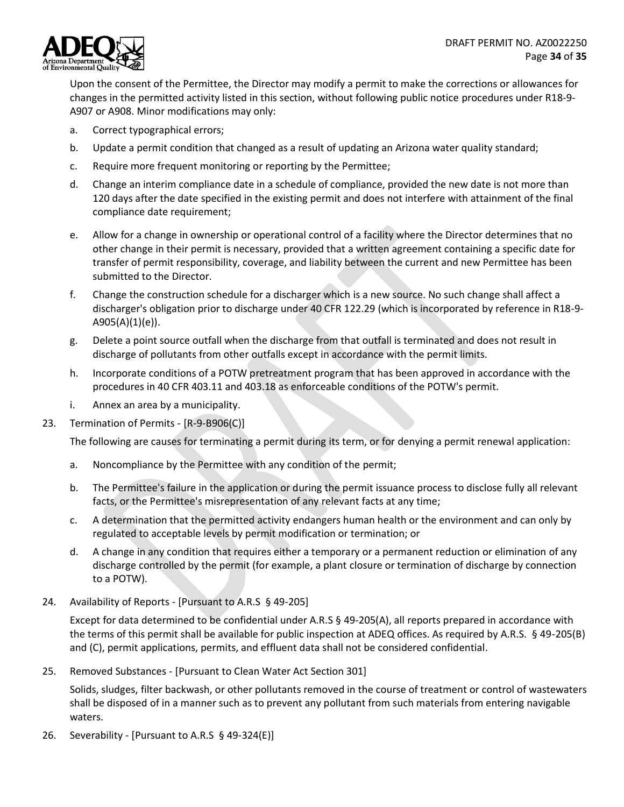

Upon the consent of the Permittee, the Director may modify a permit to make the corrections or allowances for changes in the permitted activity listed in this section, without following public notice procedures under R18-9- A907 or A908. Minor modifications may only:

- a. Correct typographical errors;
- b. Update a permit condition that changed as a result of updating an Arizona water quality standard;
- c. Require more frequent monitoring or reporting by the Permittee;
- d. Change an interim compliance date in a schedule of compliance, provided the new date is not more than 120 days after the date specified in the existing permit and does not interfere with attainment of the final compliance date requirement;
- e. Allow for a change in ownership or operational control of a facility where the Director determines that no other change in their permit is necessary, provided that a written agreement containing a specific date for transfer of permit responsibility, coverage, and liability between the current and new Permittee has been submitted to the Director.
- f. Change the construction schedule for a discharger which is a new source. No such change shall affect a discharger's obligation prior to discharge under 40 CFR 122.29 (which is incorporated by reference in R18-9- A905(A)(1)(e)).
- g. Delete a point source outfall when the discharge from that outfall is terminated and does not result in discharge of pollutants from other outfalls except in accordance with the permit limits.
- h. Incorporate conditions of a POTW pretreatment program that has been approved in accordance with the procedures in 40 CFR 403.11 and 403.18 as enforceable conditions of the POTW's permit.
- i. Annex an area by a municipality.
- 23. Termination of Permits [R-9-B906(C)]

The following are causes for terminating a permit during its term, or for denying a permit renewal application:

- a. Noncompliance by the Permittee with any condition of the permit;
- b. The Permittee's failure in the application or during the permit issuance process to disclose fully all relevant facts, or the Permittee's misrepresentation of any relevant facts at any time;
- c. A determination that the permitted activity endangers human health or the environment and can only by regulated to acceptable levels by permit modification or termination; or
- d. A change in any condition that requires either a temporary or a permanent reduction or elimination of any discharge controlled by the permit (for example, a plant closure or termination of discharge by connection to a POTW).
- 24. Availability of Reports [Pursuant to A.R.S § 49-205]

Except for data determined to be confidential under A.R.S § 49-205(A), all reports prepared in accordance with the terms of this permit shall be available for public inspection at ADEQ offices. As required by A.R.S. § 49-205(B) and (C), permit applications, permits, and effluent data shall not be considered confidential.

25. Removed Substances - [Pursuant to Clean Water Act Section 301]

Solids, sludges, filter backwash, or other pollutants removed in the course of treatment or control of wastewaters shall be disposed of in a manner such as to prevent any pollutant from such materials from entering navigable waters.

26. Severability - [Pursuant to A.R.S § 49-324(E)]